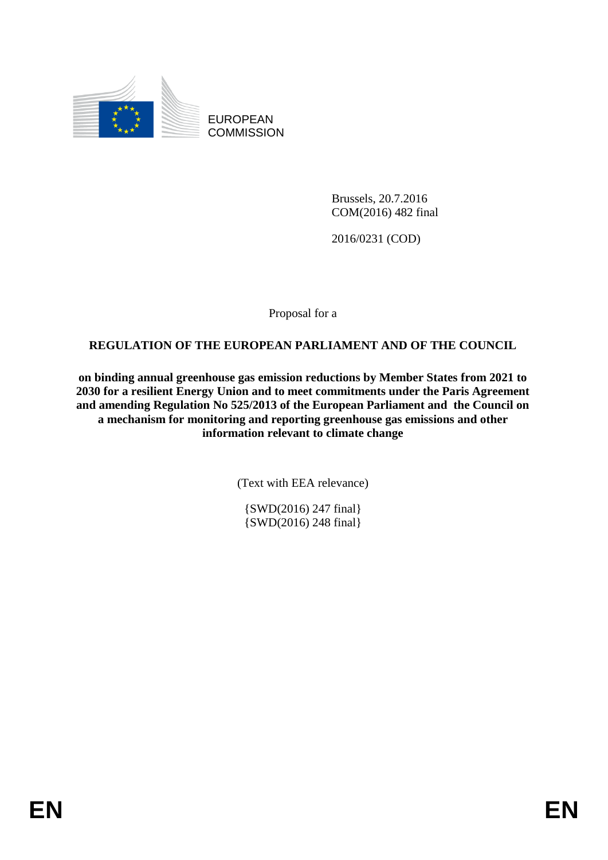

EUROPEAN **COMMISSION** 

> Brussels, 20.7.2016 COM(2016) 482 final

2016/0231 (COD)

Proposal for a

# **REGULATION OF THE EUROPEAN PARLIAMENT AND OF THE COUNCIL**

**on binding annual greenhouse gas emission reductions by Member States from 2021 to 2030 for a resilient Energy Union and to meet commitments under the Paris Agreement and amending Regulation No 525/2013 of the European Parliament and the Council on a mechanism for monitoring and reporting greenhouse gas emissions and other information relevant to climate change**

(Text with EEA relevance)

{SWD(2016) 247 final} {SWD(2016) 248 final}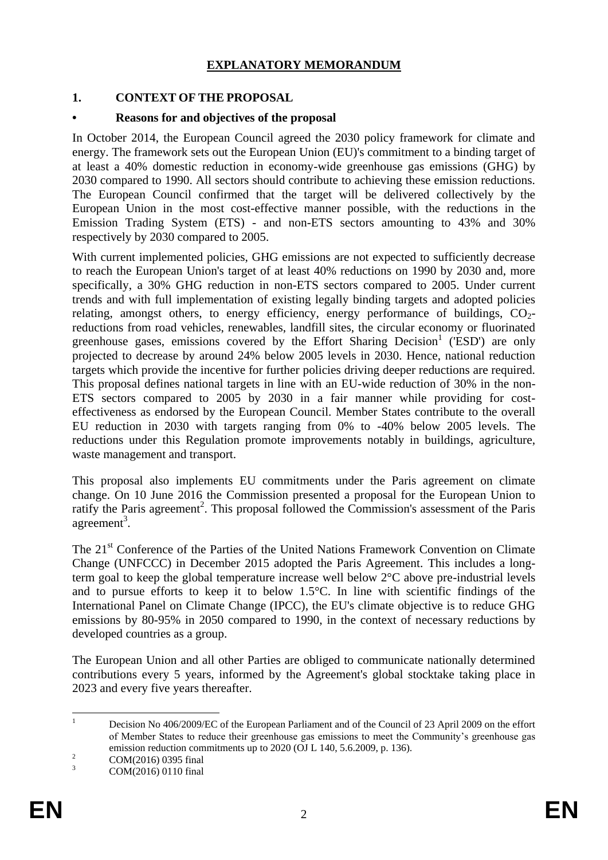### **EXPLANATORY MEMORANDUM**

### **1. CONTEXT OF THE PROPOSAL**

#### **• Reasons for and objectives of the proposal**

In October 2014, the European Council agreed the 2030 policy framework for climate and energy. The framework sets out the European Union (EU)'s commitment to a binding target of at least a 40% domestic reduction in economy-wide greenhouse gas emissions (GHG) by 2030 compared to 1990. All sectors should contribute to achieving these emission reductions. The European Council confirmed that the target will be delivered collectively by the European Union in the most cost-effective manner possible, with the reductions in the Emission Trading System (ETS) - and non-ETS sectors amounting to 43% and 30% respectively by 2030 compared to 2005.

With current implemented policies, GHG emissions are not expected to sufficiently decrease to reach the European Union's target of at least 40% reductions on 1990 by 2030 and, more specifically, a 30% GHG reduction in non-ETS sectors compared to 2005. Under current trends and with full implementation of existing legally binding targets and adopted policies relating, amongst others, to energy efficiency, energy performance of buildings,  $CO<sub>2</sub>$ reductions from road vehicles, renewables, landfill sites, the circular economy or fluorinated greenhouse gases, emissions covered by the Effort Sharing Decision<sup>1</sup> (ESD') are only projected to decrease by around 24% below 2005 levels in 2030. Hence, national reduction targets which provide the incentive for further policies driving deeper reductions are required. This proposal defines national targets in line with an EU-wide reduction of 30% in the non-ETS sectors compared to 2005 by 2030 in a fair manner while providing for costeffectiveness as endorsed by the European Council. Member States contribute to the overall EU reduction in 2030 with targets ranging from 0% to -40% below 2005 levels. The reductions under this Regulation promote improvements notably in buildings, agriculture, waste management and transport.

This proposal also implements EU commitments under the Paris agreement on climate change. On 10 June 2016 the Commission presented a proposal for the European Union to ratify the Paris agreement<sup>2</sup>. This proposal followed the Commission's assessment of the Paris  $agreement<sup>3</sup>$ .

The 21<sup>st</sup> Conference of the Parties of the United Nations Framework Convention on Climate Change (UNFCCC) in December 2015 adopted the Paris Agreement. This includes a longterm goal to keep the global temperature increase well below 2°C above pre-industrial levels and to pursue efforts to keep it to below 1.5°C. In line with scientific findings of the International Panel on Climate Change (IPCC), the EU's climate objective is to reduce GHG emissions by 80-95% in 2050 compared to 1990, in the context of necessary reductions by developed countries as a group.

The European Union and all other Parties are obliged to communicate nationally determined contributions every 5 years, informed by the Agreement's global stocktake taking place in 2023 and every five years thereafter.

 $2 \text{ COM}(2016) 0395 \text{ final}$ <br>  $20 \text{ MO}(2016) 0110 \text{ final}$ 

 $\mathbf{1}$ <sup>1</sup> Decision No 406/2009/EC of the European Parliament and of the Council of 23 April 2009 on the effort of Member States to reduce their greenhouse gas emissions to meet the Community's greenhouse gas emission reduction commitments up to 2020 (OJ L 140, 5.6.2009, p. 136).

COM(2016) 0110 final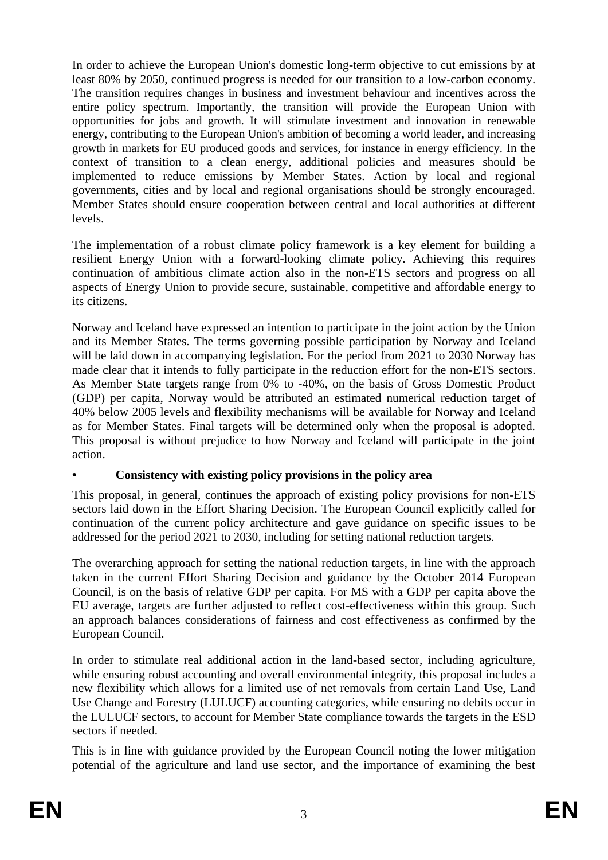In order to achieve the European Union's domestic long-term objective to cut emissions by at least 80% by 2050, continued progress is needed for our transition to a low-carbon economy. The transition requires changes in business and investment behaviour and incentives across the entire policy spectrum. Importantly, the transition will provide the European Union with opportunities for jobs and growth. It will stimulate investment and innovation in renewable energy, contributing to the European Union's ambition of becoming a world leader, and increasing growth in markets for EU produced goods and services, for instance in energy efficiency. In the context of transition to a clean energy, additional policies and measures should be implemented to reduce emissions by Member States. Action by local and regional governments, cities and by local and regional organisations should be strongly encouraged. Member States should ensure cooperation between central and local authorities at different levels.

The implementation of a robust climate policy framework is a key element for building a resilient Energy Union with a forward-looking climate policy. Achieving this requires continuation of ambitious climate action also in the non-ETS sectors and progress on all aspects of Energy Union to provide secure, sustainable, competitive and affordable energy to its citizens.

Norway and Iceland have expressed an intention to participate in the joint action by the Union and its Member States. The terms governing possible participation by Norway and Iceland will be laid down in accompanying legislation. For the period from 2021 to 2030 Norway has made clear that it intends to fully participate in the reduction effort for the non-ETS sectors. As Member State targets range from 0% to -40%, on the basis of Gross Domestic Product (GDP) per capita, Norway would be attributed an estimated numerical reduction target of 40% below 2005 levels and flexibility mechanisms will be available for Norway and Iceland as for Member States. Final targets will be determined only when the proposal is adopted. This proposal is without prejudice to how Norway and Iceland will participate in the joint action.

### **• Consistency with existing policy provisions in the policy area**

This proposal, in general, continues the approach of existing policy provisions for non-ETS sectors laid down in the Effort Sharing Decision. The European Council explicitly called for continuation of the current policy architecture and gave guidance on specific issues to be addressed for the period 2021 to 2030, including for setting national reduction targets.

The overarching approach for setting the national reduction targets, in line with the approach taken in the current Effort Sharing Decision and guidance by the October 2014 European Council, is on the basis of relative GDP per capita. For MS with a GDP per capita above the EU average, targets are further adjusted to reflect cost-effectiveness within this group. Such an approach balances considerations of fairness and cost effectiveness as confirmed by the European Council.

In order to stimulate real additional action in the land-based sector, including agriculture, while ensuring robust accounting and overall environmental integrity, this proposal includes a new flexibility which allows for a limited use of net removals from certain Land Use, Land Use Change and Forestry (LULUCF) accounting categories, while ensuring no debits occur in the LULUCF sectors, to account for Member State compliance towards the targets in the ESD sectors if needed.

This is in line with guidance provided by the European Council noting the lower mitigation potential of the agriculture and land use sector, and the importance of examining the best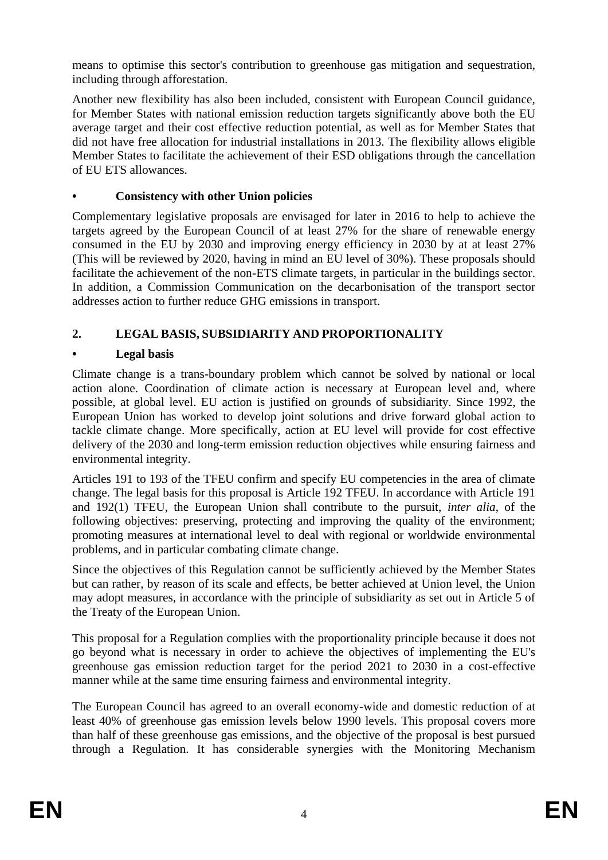means to optimise this sector's contribution to greenhouse gas mitigation and sequestration, including through afforestation.

Another new flexibility has also been included, consistent with European Council guidance, for Member States with national emission reduction targets significantly above both the EU average target and their cost effective reduction potential, as well as for Member States that did not have free allocation for industrial installations in 2013. The flexibility allows eligible Member States to facilitate the achievement of their ESD obligations through the cancellation of EU ETS allowances.

# **• Consistency with other Union policies**

Complementary legislative proposals are envisaged for later in 2016 to help to achieve the targets agreed by the European Council of at least 27% for the share of renewable energy consumed in the EU by 2030 and improving energy efficiency in 2030 by at at least 27% (This will be reviewed by 2020, having in mind an EU level of 30%). These proposals should facilitate the achievement of the non-ETS climate targets, in particular in the buildings sector. In addition, a Commission Communication on the decarbonisation of the transport sector addresses action to further reduce GHG emissions in transport.

# **2. LEGAL BASIS, SUBSIDIARITY AND PROPORTIONALITY**

# **• Legal basis**

Climate change is a trans-boundary problem which cannot be solved by national or local action alone. Coordination of climate action is necessary at European level and, where possible, at global level. EU action is justified on grounds of subsidiarity. Since 1992, the European Union has worked to develop joint solutions and drive forward global action to tackle climate change. More specifically, action at EU level will provide for cost effective delivery of the 2030 and long-term emission reduction objectives while ensuring fairness and environmental integrity.

Articles 191 to 193 of the TFEU confirm and specify EU competencies in the area of climate change. The legal basis for this proposal is Article 192 TFEU. In accordance with Article 191 and 192(1) TFEU, the European Union shall contribute to the pursuit, *inter alia*, of the following objectives: preserving, protecting and improving the quality of the environment; promoting measures at international level to deal with regional or worldwide environmental problems, and in particular combating climate change.

Since the objectives of this Regulation cannot be sufficiently achieved by the Member States but can rather, by reason of its scale and effects, be better achieved at Union level, the Union may adopt measures, in accordance with the principle of subsidiarity as set out in Article 5 of the Treaty of the European Union.

This proposal for a Regulation complies with the proportionality principle because it does not go beyond what is necessary in order to achieve the objectives of implementing the EU's greenhouse gas emission reduction target for the period 2021 to 2030 in a cost-effective manner while at the same time ensuring fairness and environmental integrity.

The European Council has agreed to an overall economy-wide and domestic reduction of at least 40% of greenhouse gas emission levels below 1990 levels. This proposal covers more than half of these greenhouse gas emissions, and the objective of the proposal is best pursued through a Regulation. It has considerable synergies with the Monitoring Mechanism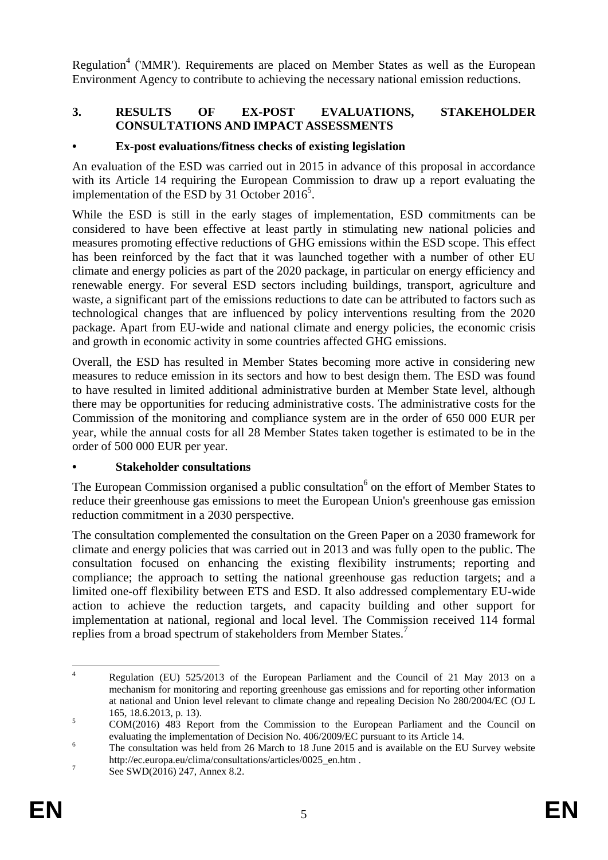Regulation<sup>4</sup> ('MMR'). Requirements are placed on Member States as well as the European Environment Agency to contribute to achieving the necessary national emission reductions.

# **3. RESULTS OF EX-POST EVALUATIONS, STAKEHOLDER CONSULTATIONS AND IMPACT ASSESSMENTS**

### **• Ex-post evaluations/fitness checks of existing legislation**

An evaluation of the ESD was carried out in 2015 in advance of this proposal in accordance with its Article 14 requiring the European Commission to draw up a report evaluating the implementation of the ESD by 31 October 2016<sup>5</sup>.

While the ESD is still in the early stages of implementation, ESD commitments can be considered to have been effective at least partly in stimulating new national policies and measures promoting effective reductions of GHG emissions within the ESD scope. This effect has been reinforced by the fact that it was launched together with a number of other EU climate and energy policies as part of the 2020 package, in particular on energy efficiency and renewable energy. For several ESD sectors including buildings, transport, agriculture and waste, a significant part of the emissions reductions to date can be attributed to factors such as technological changes that are influenced by policy interventions resulting from the 2020 package. Apart from EU-wide and national climate and energy policies, the economic crisis and growth in economic activity in some countries affected GHG emissions.

Overall, the ESD has resulted in Member States becoming more active in considering new measures to reduce emission in its sectors and how to best design them. The ESD was found to have resulted in limited additional administrative burden at Member State level, although there may be opportunities for reducing administrative costs. The administrative costs for the Commission of the monitoring and compliance system are in the order of 650 000 EUR per year, while the annual costs for all 28 Member States taken together is estimated to be in the order of 500 000 EUR per year.

#### **• Stakeholder consultations**

The European Commission organised a public consultation<sup>6</sup> on the effort of Member States to reduce their greenhouse gas emissions to meet the European Union's greenhouse gas emission reduction commitment in a 2030 perspective.

The consultation complemented the consultation on the Green Paper on a 2030 framework for climate and energy policies that was carried out in 2013 and was fully open to the public. The consultation focused on enhancing the existing flexibility instruments; reporting and compliance; the approach to setting the national greenhouse gas reduction targets; and a limited one-off flexibility between ETS and ESD. It also addressed complementary EU-wide action to achieve the reduction targets, and capacity building and other support for implementation at national, regional and local level. The Commission received 114 formal replies from a broad spectrum of stakeholders from Member States.<sup>7</sup>

 $\overline{4}$ <sup>4</sup> Regulation (EU) 525/2013 of the European Parliament and the Council of 21 May 2013 on a mechanism for monitoring and reporting greenhouse gas emissions and for reporting other information at national and Union level relevant to climate change and repealing Decision No 280/2004/EC (OJ L 165, 18.6.2013, p. 13).

<sup>&</sup>lt;sup>5</sup> COM(2016) 483 Report from the Commission to the European Parliament and the Council on evaluating the implementation of Decision No. 406/2009/EC pursuant to its Article 14.

<sup>6</sup> The consultation was held from 26 March to 18 June 2015 and is available on the EU Survey website [http://ec.europa.eu/clima/consultations/articles/0025\\_en.htm](http://ec.europa.eu/clima/consultations/articles/0025_en.htm) .

<sup>7</sup> See SWD(2016) 247, Annex 8.2.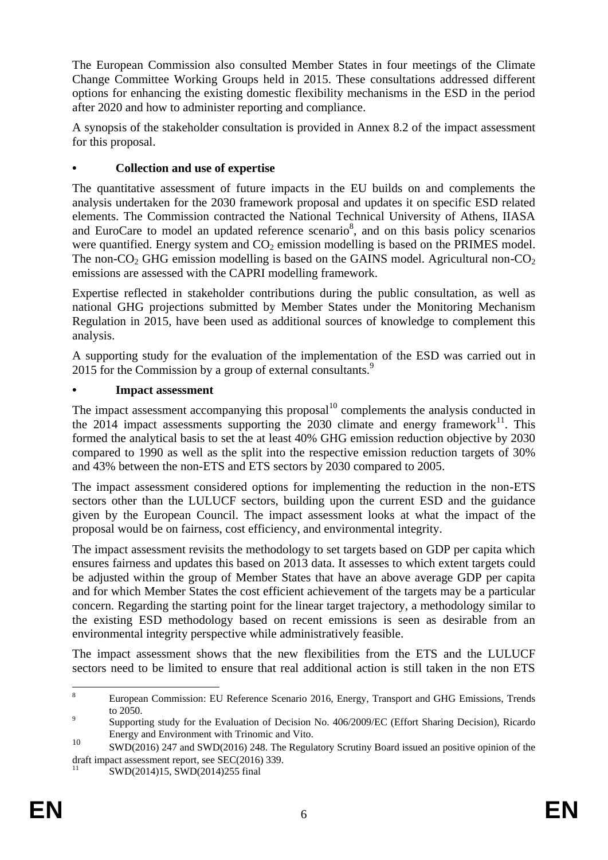The European Commission also consulted Member States in four meetings of the Climate Change Committee Working Groups held in 2015. These consultations addressed different options for enhancing the existing domestic flexibility mechanisms in the ESD in the period after 2020 and how to administer reporting and compliance.

A synopsis of the stakeholder consultation is provided in Annex 8.2 of the impact assessment for this proposal.

# **• Collection and use of expertise**

The quantitative assessment of future impacts in the EU builds on and complements the analysis undertaken for the 2030 framework proposal and updates it on specific ESD related elements. The Commission contracted the National Technical University of Athens, IIASA and EuroCare to model an updated reference scenario<sup>8</sup>, and on this basis policy scenarios were quantified. Energy system and  $CO<sub>2</sub>$  emission modelling is based on the PRIMES model. The non-CO<sub>2</sub> GHG emission modelling is based on the GAINS model. Agricultural non-CO<sub>2</sub> emissions are assessed with the CAPRI modelling framework.

Expertise reflected in stakeholder contributions during the public consultation, as well as national GHG projections submitted by Member States under the Monitoring Mechanism Regulation in 2015, have been used as additional sources of knowledge to complement this analysis.

A supporting study for the evaluation of the implementation of the ESD was carried out in 2015 for the Commission by a group of external consultants.<sup>9</sup>

### **• Impact assessment**

The impact assessment accompanying this proposal<sup>10</sup> complements the analysis conducted in the  $2014$  impact assessments supporting the  $2030$  climate and energy framework<sup>11</sup>. This formed the analytical basis to set the at least 40% GHG emission reduction objective by 2030 compared to 1990 as well as the split into the respective emission reduction targets of 30% and 43% between the non-ETS and ETS sectors by 2030 compared to 2005.

The impact assessment considered options for implementing the reduction in the non-ETS sectors other than the LULUCF sectors, building upon the current ESD and the guidance given by the European Council. The impact assessment looks at what the impact of the proposal would be on fairness, cost efficiency, and environmental integrity.

The impact assessment revisits the methodology to set targets based on GDP per capita which ensures fairness and updates this based on 2013 data. It assesses to which extent targets could be adjusted within the group of Member States that have an above average GDP per capita and for which Member States the cost efficient achievement of the targets may be a particular concern. Regarding the starting point for the linear target trajectory, a methodology similar to the existing ESD methodology based on recent emissions is seen as desirable from an environmental integrity perspective while administratively feasible.

The impact assessment shows that the new flexibilities from the ETS and the LULUCF sectors need to be limited to ensure that real additional action is still taken in the non ETS

 $\mathbf{R}$ <sup>8</sup> European Commission: EU Reference Scenario 2016, Energy, Transport and GHG Emissions, Trends to 2050.

 $\alpha$ Supporting study for the Evaluation of Decision No. 406/2009/EC (Effort Sharing Decision), Ricardo Energy and Environment with Trinomic and Vito.

<sup>10</sup> SWD(2016) 247 and SWD(2016) 248. The Regulatory Scrutiny Board issued an positive opinion of the draft impact assessment report, see SEC(2016) 339.

SWD(2014)15, SWD(2014)255 final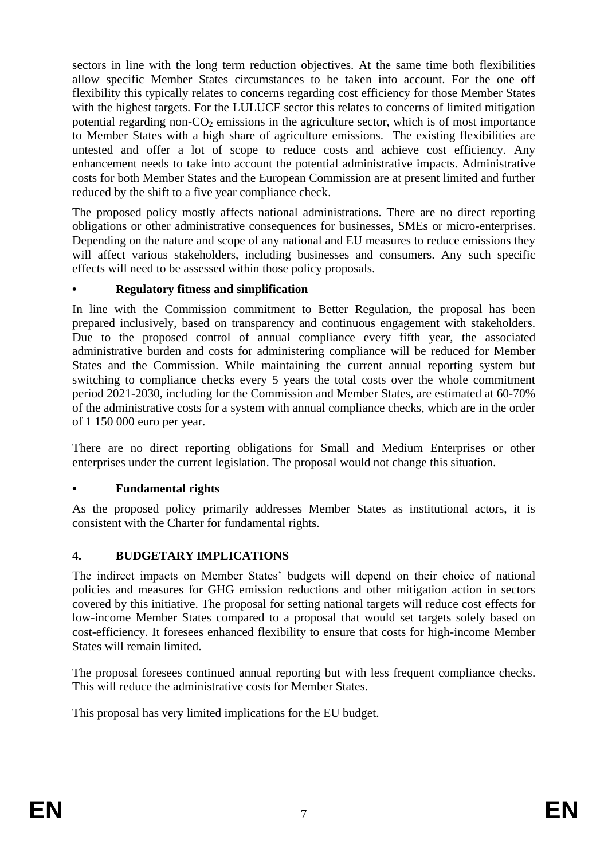sectors in line with the long term reduction objectives. At the same time both flexibilities allow specific Member States circumstances to be taken into account. For the one off flexibility this typically relates to concerns regarding cost efficiency for those Member States with the highest targets. For the LULUCF sector this relates to concerns of limited mitigation potential regarding non- $CO<sub>2</sub>$  emissions in the agriculture sector, which is of most importance to Member States with a high share of agriculture emissions. The existing flexibilities are untested and offer a lot of scope to reduce costs and achieve cost efficiency. Any enhancement needs to take into account the potential administrative impacts. Administrative costs for both Member States and the European Commission are at present limited and further reduced by the shift to a five year compliance check.

The proposed policy mostly affects national administrations. There are no direct reporting obligations or other administrative consequences for businesses, SMEs or micro-enterprises. Depending on the nature and scope of any national and EU measures to reduce emissions they will affect various stakeholders, including businesses and consumers. Any such specific effects will need to be assessed within those policy proposals.

### **• Regulatory fitness and simplification**

In line with the Commission commitment to Better Regulation, the proposal has been prepared inclusively, based on transparency and continuous engagement with stakeholders. Due to the proposed control of annual compliance every fifth year, the associated administrative burden and costs for administering compliance will be reduced for Member States and the Commission. While maintaining the current annual reporting system but switching to compliance checks every 5 years the total costs over the whole commitment period 2021-2030, including for the Commission and Member States, are estimated at 60-70% of the administrative costs for a system with annual compliance checks, which are in the order of 1 150 000 euro per year.

There are no direct reporting obligations for Small and Medium Enterprises or other enterprises under the current legislation. The proposal would not change this situation.

### **• Fundamental rights**

As the proposed policy primarily addresses Member States as institutional actors, it is consistent with the Charter for fundamental rights.

# **4. BUDGETARY IMPLICATIONS**

The indirect impacts on Member States' budgets will depend on their choice of national policies and measures for GHG emission reductions and other mitigation action in sectors covered by this initiative. The proposal for setting national targets will reduce cost effects for low-income Member States compared to a proposal that would set targets solely based on cost-efficiency. It foresees enhanced flexibility to ensure that costs for high-income Member States will remain limited.

The proposal foresees continued annual reporting but with less frequent compliance checks. This will reduce the administrative costs for Member States.

This proposal has very limited implications for the EU budget.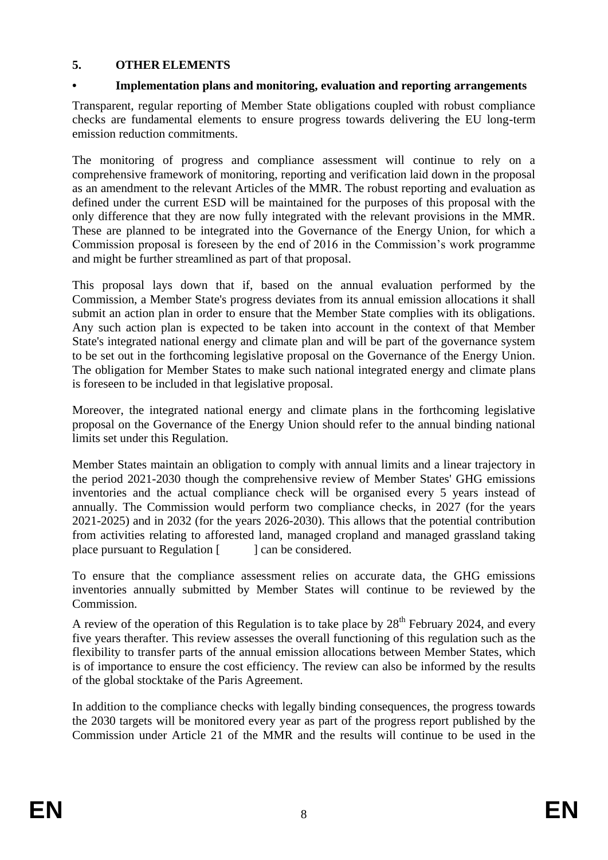### **5. OTHER ELEMENTS**

### **• Implementation plans and monitoring, evaluation and reporting arrangements**

Transparent, regular reporting of Member State obligations coupled with robust compliance checks are fundamental elements to ensure progress towards delivering the EU long-term emission reduction commitments.

The monitoring of progress and compliance assessment will continue to rely on a comprehensive framework of monitoring, reporting and verification laid down in the proposal as an amendment to the relevant Articles of the MMR. The robust reporting and evaluation as defined under the current ESD will be maintained for the purposes of this proposal with the only difference that they are now fully integrated with the relevant provisions in the MMR. These are planned to be integrated into the Governance of the Energy Union, for which a Commission proposal is foreseen by the end of 2016 in the Commission's work programme and might be further streamlined as part of that proposal.

This proposal lays down that if, based on the annual evaluation performed by the Commission, a Member State's progress deviates from its annual emission allocations it shall submit an action plan in order to ensure that the Member State complies with its obligations. Any such action plan is expected to be taken into account in the context of that Member State's integrated national energy and climate plan and will be part of the governance system to be set out in the forthcoming legislative proposal on the Governance of the Energy Union. The obligation for Member States to make such national integrated energy and climate plans is foreseen to be included in that legislative proposal.

Moreover, the integrated national energy and climate plans in the forthcoming legislative proposal on the Governance of the Energy Union should refer to the annual binding national limits set under this Regulation.

Member States maintain an obligation to comply with annual limits and a linear trajectory in the period 2021-2030 though the comprehensive review of Member States' GHG emissions inventories and the actual compliance check will be organised every 5 years instead of annually. The Commission would perform two compliance checks, in 2027 (for the years 2021-2025) and in 2032 (for the years 2026-2030). This allows that the potential contribution from activities relating to afforested land, managed cropland and managed grassland taking place pursuant to Regulation  $\lceil \cdot \cdot \cdot \rceil$  can be considered.

To ensure that the compliance assessment relies on accurate data, the GHG emissions inventories annually submitted by Member States will continue to be reviewed by the Commission.

A review of the operation of this Regulation is to take place by  $28<sup>th</sup>$  February 2024, and every five years therafter. This review assesses the overall functioning of this regulation such as the flexibility to transfer parts of the annual emission allocations between Member States, which is of importance to ensure the cost efficiency. The review can also be informed by the results of the global stocktake of the Paris Agreement.

In addition to the compliance checks with legally binding consequences, the progress towards the 2030 targets will be monitored every year as part of the progress report published by the Commission under Article 21 of the MMR and the results will continue to be used in the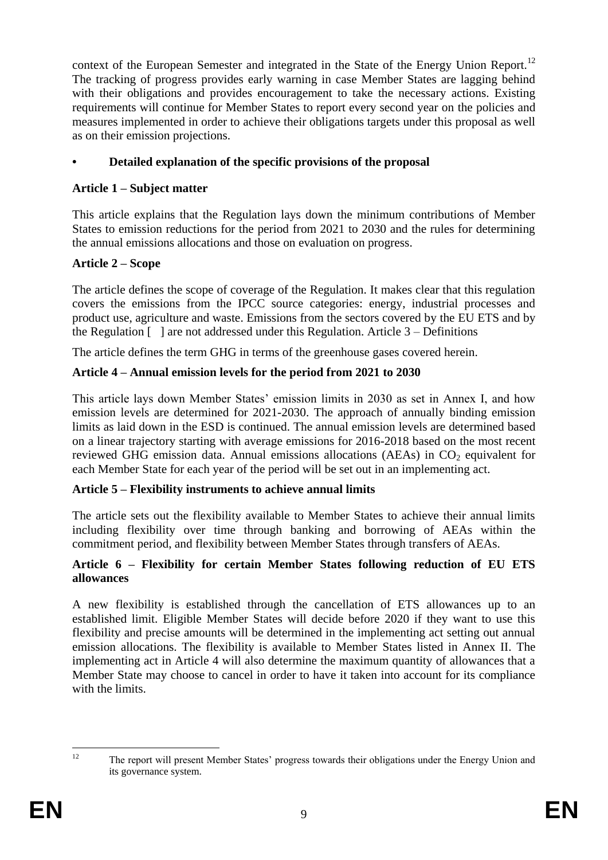context of the European Semester and integrated in the State of the Energy Union Report.<sup>12</sup> The tracking of progress provides early warning in case Member States are lagging behind with their obligations and provides encouragement to take the necessary actions. Existing requirements will continue for Member States to report every second year on the policies and measures implemented in order to achieve their obligations targets under this proposal as well as on their emission projections.

# **• Detailed explanation of the specific provisions of the proposal**

# **Article 1 – Subject matter**

This article explains that the Regulation lays down the minimum contributions of Member States to emission reductions for the period from 2021 to 2030 and the rules for determining the annual emissions allocations and those on evaluation on progress.

# **Article 2 – Scope**

The article defines the scope of coverage of the Regulation. It makes clear that this regulation covers the emissions from the IPCC source categories: energy, industrial processes and product use, agriculture and waste. Emissions from the sectors covered by the EU ETS and by the Regulation  $\lceil \cdot \rceil$  are not addressed under this Regulation. Article 3 – Definitions

The article defines the term GHG in terms of the greenhouse gases covered herein.

# **Article 4 – Annual emission levels for the period from 2021 to 2030**

This article lays down Member States' emission limits in 2030 as set in Annex I, and how emission levels are determined for 2021-2030. The approach of annually binding emission limits as laid down in the ESD is continued. The annual emission levels are determined based on a linear trajectory starting with average emissions for 2016-2018 based on the most recent reviewed GHG emission data. Annual emissions allocations (AEAs) in  $CO<sub>2</sub>$  equivalent for each Member State for each year of the period will be set out in an implementing act.

### **Article 5 – Flexibility instruments to achieve annual limits**

The article sets out the flexibility available to Member States to achieve their annual limits including flexibility over time through banking and borrowing of AEAs within the commitment period, and flexibility between Member States through transfers of AEAs.

### **Article 6 – Flexibility for certain Member States following reduction of EU ETS allowances**

A new flexibility is established through the cancellation of ETS allowances up to an established limit. Eligible Member States will decide before 2020 if they want to use this flexibility and precise amounts will be determined in the implementing act setting out annual emission allocations. The flexibility is available to Member States listed in Annex II. The implementing act in Article 4 will also determine the maximum quantity of allowances that a Member State may choose to cancel in order to have it taken into account for its compliance with the limits.

 $12<sup>12</sup>$ <sup>12</sup> The report will present Member States' progress towards their obligations under the Energy Union and its governance system.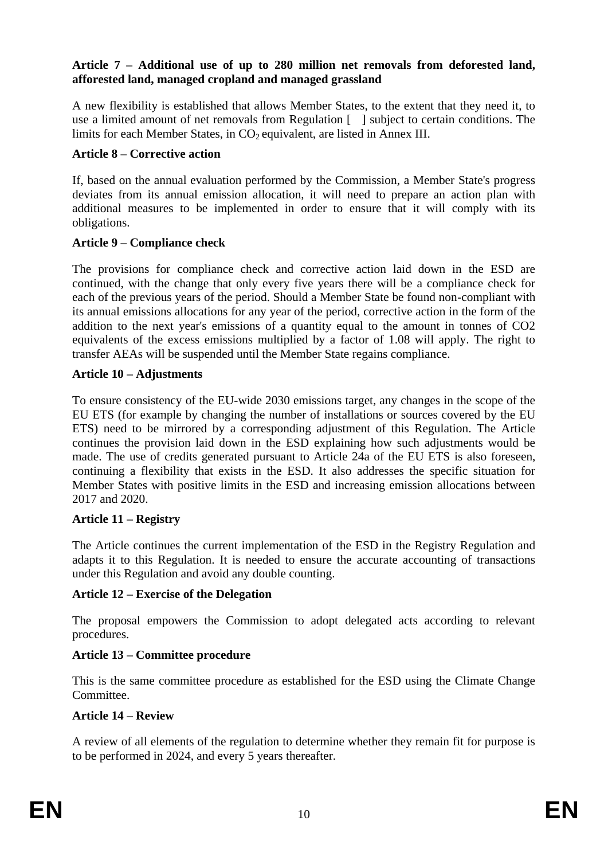#### **Article 7 – Additional use of up to 280 million net removals from deforested land, afforested land, managed cropland and managed grassland**

A new flexibility is established that allows Member States, to the extent that they need it, to use a limited amount of net removals from Regulation [ ] subject to certain conditions. The limits for each Member States, in  $CO<sub>2</sub>$  equivalent, are listed in Annex III.

#### **Article 8 – Corrective action**

If, based on the annual evaluation performed by the Commission, a Member State's progress deviates from its annual emission allocation, it will need to prepare an action plan with additional measures to be implemented in order to ensure that it will comply with its obligations.

### **Article 9 – Compliance check**

The provisions for compliance check and corrective action laid down in the ESD are continued, with the change that only every five years there will be a compliance check for each of the previous years of the period. Should a Member State be found non-compliant with its annual emissions allocations for any year of the period, corrective action in the form of the addition to the next year's emissions of a quantity equal to the amount in tonnes of CO2 equivalents of the excess emissions multiplied by a factor of 1.08 will apply. The right to transfer AEAs will be suspended until the Member State regains compliance.

### **Article 10 – Adjustments**

To ensure consistency of the EU-wide 2030 emissions target, any changes in the scope of the EU ETS (for example by changing the number of installations or sources covered by the EU ETS) need to be mirrored by a corresponding adjustment of this Regulation. The Article continues the provision laid down in the ESD explaining how such adjustments would be made. The use of credits generated pursuant to Article 24a of the EU ETS is also foreseen, continuing a flexibility that exists in the ESD. It also addresses the specific situation for Member States with positive limits in the ESD and increasing emission allocations between 2017 and 2020.

### **Article 11 – Registry**

The Article continues the current implementation of the ESD in the Registry Regulation and adapts it to this Regulation. It is needed to ensure the accurate accounting of transactions under this Regulation and avoid any double counting.

#### **Article 12 – Exercise of the Delegation**

The proposal empowers the Commission to adopt delegated acts according to relevant procedures.

### **Article 13 – Committee procedure**

This is the same committee procedure as established for the ESD using the Climate Change Committee.

### **Article 14 – Review**

A review of all elements of the regulation to determine whether they remain fit for purpose is to be performed in 2024, and every 5 years thereafter.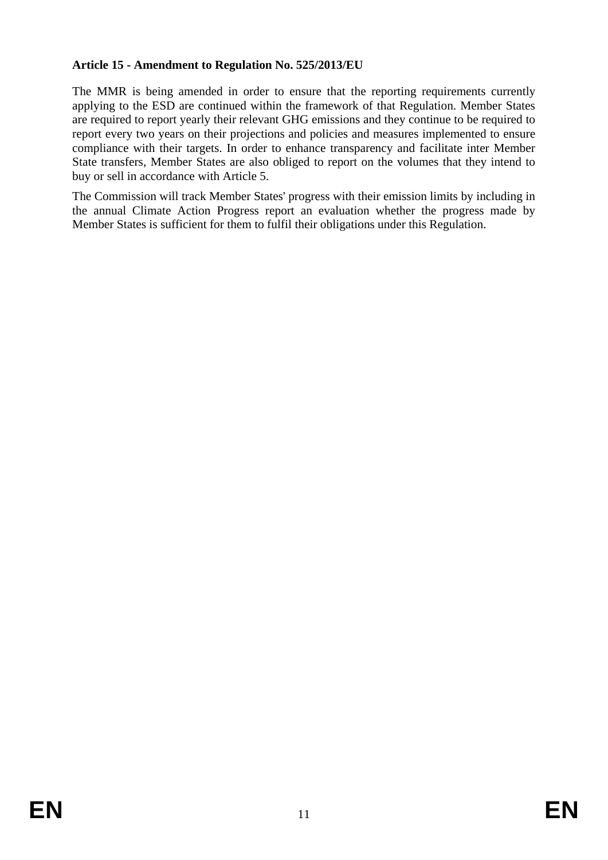### **Article 15 - Amendment to Regulation No. 525/2013/EU**

The MMR is being amended in order to ensure that the reporting requirements currently applying to the ESD are continued within the framework of that Regulation. Member States are required to report yearly their relevant GHG emissions and they continue to be required to report every two years on their projections and policies and measures implemented to ensure compliance with their targets. In order to enhance transparency and facilitate inter Member State transfers, Member States are also obliged to report on the volumes that they intend to buy or sell in accordance with Article 5.

The Commission will track Member States' progress with their emission limits by including in the annual Climate Action Progress report an evaluation whether the progress made by Member States is sufficient for them to fulfil their obligations under this Regulation.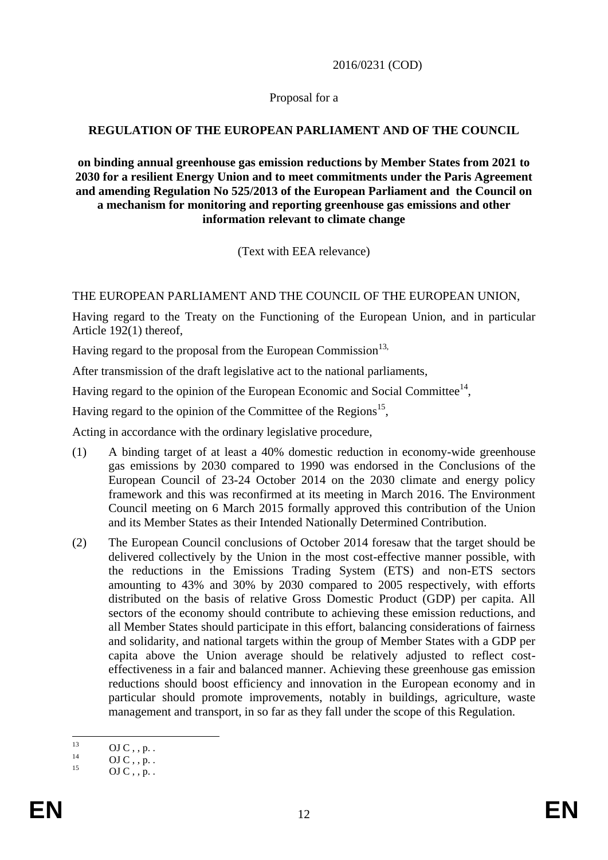#### 2016/0231 (COD)

#### Proposal for a

### **REGULATION OF THE EUROPEAN PARLIAMENT AND OF THE COUNCIL**

**on binding annual greenhouse gas emission reductions by Member States from 2021 to 2030 for a resilient Energy Union and to meet commitments under the Paris Agreement and amending Regulation No 525/2013 of the European Parliament and the Council on a mechanism for monitoring and reporting greenhouse gas emissions and other information relevant to climate change**

(Text with EEA relevance)

THE EUROPEAN PARLIAMENT AND THE COUNCIL OF THE EUROPEAN UNION,

Having regard to the Treaty on the Functioning of the European Union, and in particular Article 192(1) thereof,

Having regard to the proposal from the European Commission<sup>13,</sup>

After transmission of the draft legislative act to the national parliaments,

Having regard to the opinion of the European Economic and Social Committee $^{14}$ ,

Having regard to the opinion of the Committee of the Regions<sup>15</sup>,

Acting in accordance with the ordinary legislative procedure,

- (1) A binding target of at least a 40% domestic reduction in economy-wide greenhouse gas emissions by 2030 compared to 1990 was endorsed in the Conclusions of the European Council of 23-24 October 2014 on the 2030 climate and energy policy framework and this was reconfirmed at its meeting in March 2016. The Environment Council meeting on 6 March 2015 formally approved this contribution of the Union and its Member States as their Intended Nationally Determined Contribution.
- (2) The European Council conclusions of October 2014 foresaw that the target should be delivered collectively by the Union in the most cost-effective manner possible, with the reductions in the Emissions Trading System (ETS) and non-ETS sectors amounting to 43% and 30% by 2030 compared to 2005 respectively, with efforts distributed on the basis of relative Gross Domestic Product (GDP) per capita. All sectors of the economy should contribute to achieving these emission reductions, and all Member States should participate in this effort, balancing considerations of fairness and solidarity, and national targets within the group of Member States with a GDP per capita above the Union average should be relatively adjusted to reflect costeffectiveness in a fair and balanced manner. Achieving these greenhouse gas emission reductions should boost efficiency and innovation in the European economy and in particular should promote improvements, notably in buildings, agriculture, waste management and transport, in so far as they fall under the scope of this Regulation.

 $\overline{12}$  $^{13}$  OJ C , , p. .

 $^{14}$  OJ C , , p. .

 $OJ C$ , , p. .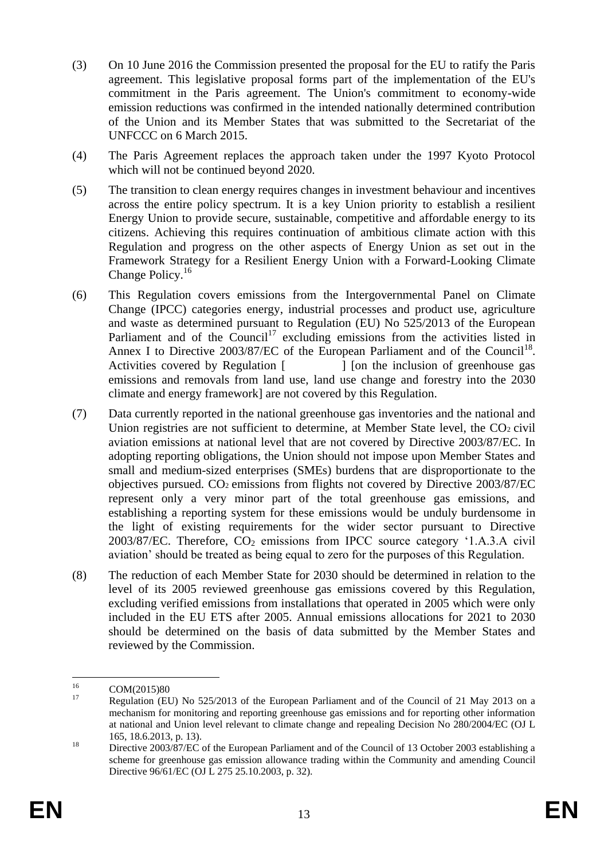- (3) On 10 June 2016 the Commission presented the proposal for the EU to ratify the Paris agreement. This legislative proposal forms part of the implementation of the EU's commitment in the Paris agreement. The Union's commitment to economy-wide emission reductions was confirmed in the intended nationally determined contribution of the Union and its Member States that was submitted to the Secretariat of the UNFCCC on 6 March 2015.
- (4) The Paris Agreement replaces the approach taken under the 1997 Kyoto Protocol which will not be continued beyond 2020.
- (5) The transition to clean energy requires changes in investment behaviour and incentives across the entire policy spectrum. It is a key Union priority to establish a resilient Energy Union to provide secure, sustainable, competitive and affordable energy to its citizens. Achieving this requires continuation of ambitious climate action with this Regulation and progress on the other aspects of Energy Union as set out in the Framework Strategy for a Resilient Energy Union with a Forward-Looking Climate Change Policy.<sup>16</sup>
- (6) This Regulation covers emissions from the Intergovernmental Panel on Climate Change (IPCC) categories energy, industrial processes and product use, agriculture and waste as determined pursuant to Regulation (EU) No 525/2013 of the European Parliament and of the Council<sup>17</sup> excluding emissions from the activities listed in Annex I to Directive  $2003/87/EC$  of the European Parliament and of the Council<sup>18</sup>. Activities covered by Regulation [  $\qquad$  ] [on the inclusion of greenhouse gas emissions and removals from land use, land use change and forestry into the 2030 climate and energy framework] are not covered by this Regulation.
- (7) Data currently reported in the national greenhouse gas inventories and the national and Union registries are not sufficient to determine, at Member State level, the  $CO<sub>2</sub>$  civil aviation emissions at national level that are not covered by Directive 2003/87/EC. In adopting reporting obligations, the Union should not impose upon Member States and small and medium-sized enterprises (SMEs) burdens that are disproportionate to the objectives pursued. CO2 emissions from flights not covered by Directive 2003/87/EC represent only a very minor part of the total greenhouse gas emissions, and establishing a reporting system for these emissions would be unduly burdensome in the light of existing requirements for the wider sector pursuant to Directive  $2003/87/EC$ . Therefore,  $CO<sub>2</sub>$  emissions from IPCC source category '1.A.3.A civil aviation' should be treated as being equal to zero for the purposes of this Regulation.
- (8) The reduction of each Member State for 2030 should be determined in relation to the level of its 2005 reviewed greenhouse gas emissions covered by this Regulation, excluding verified emissions from installations that operated in 2005 which were only included in the EU ETS after 2005. Annual emissions allocations for 2021 to 2030 should be determined on the basis of data submitted by the Member States and reviewed by the Commission.

 $16\,$  $^{16}$  COM(2015)80

Regulation (EU) No 525/2013 of the European Parliament and of the Council of 21 May 2013 on a mechanism for monitoring and reporting greenhouse gas emissions and for reporting other information at national and Union level relevant to climate change and repealing Decision No 280/2004/EC (OJ L 165, 18.6.2013, p. 13).

<sup>&</sup>lt;sup>18</sup> Directive 2003/87/EC of the European Parliament and of the Council of 13 October 2003 establishing a scheme for greenhouse gas emission allowance trading within the Community and amending Council Directive 96/61/EC (OJ L 275 25.10.2003, p. 32).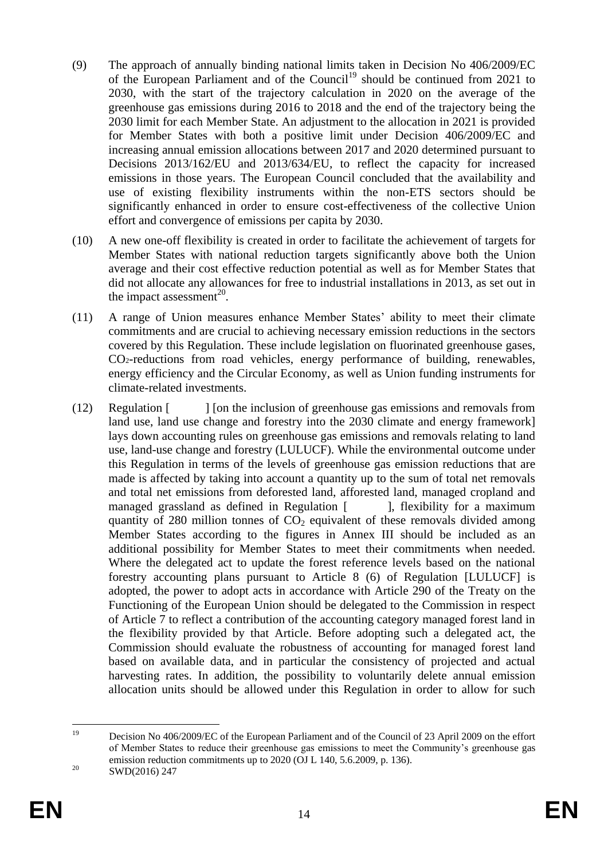- (9) The approach of annually binding national limits taken in Decision No 406/2009/EC of the European Parliament and of the Council<sup>19</sup> should be continued from 2021 to 2030, with the start of the trajectory calculation in 2020 on the average of the greenhouse gas emissions during 2016 to 2018 and the end of the trajectory being the 2030 limit for each Member State. An adjustment to the allocation in 2021 is provided for Member States with both a positive limit under Decision 406/2009/EC and increasing annual emission allocations between 2017 and 2020 determined pursuant to Decisions 2013/162/EU and 2013/634/EU, to reflect the capacity for increased emissions in those years. The European Council concluded that the availability and use of existing flexibility instruments within the non-ETS sectors should be significantly enhanced in order to ensure cost-effectiveness of the collective Union effort and convergence of emissions per capita by 2030.
- (10) A new one-off flexibility is created in order to facilitate the achievement of targets for Member States with national reduction targets significantly above both the Union average and their cost effective reduction potential as well as for Member States that did not allocate any allowances for free to industrial installations in 2013, as set out in the impact assessment<sup>20</sup>.
- (11) A range of Union measures enhance Member States' ability to meet their climate commitments and are crucial to achieving necessary emission reductions in the sectors covered by this Regulation. These include legislation on fluorinated greenhouse gases, CO2-reductions from road vehicles, energy performance of building, renewables, energy efficiency and the Circular Economy, as well as Union funding instruments for climate-related investments.
- (12) Regulation [ ] [on the inclusion of greenhouse gas emissions and removals from land use, land use change and forestry into the 2030 climate and energy framework] lays down accounting rules on greenhouse gas emissions and removals relating to land use, land-use change and forestry (LULUCF). While the environmental outcome under this Regulation in terms of the levels of greenhouse gas emission reductions that are made is affected by taking into account a quantity up to the sum of total net removals and total net emissions from deforested land, afforested land, managed cropland and managed grassland as defined in Regulation [ ], flexibility for a maximum quantity of 280 million tonnes of  $CO<sub>2</sub>$  equivalent of these removals divided among Member States according to the figures in Annex III should be included as an additional possibility for Member States to meet their commitments when needed. Where the delegated act to update the forest reference levels based on the national forestry accounting plans pursuant to Article 8 (6) of Regulation [LULUCF] is adopted, the power to adopt acts in accordance with Article 290 of the Treaty on the Functioning of the European Union should be delegated to the Commission in respect of Article 7 to reflect a contribution of the accounting category managed forest land in the flexibility provided by that Article. Before adopting such a delegated act, the Commission should evaluate the robustness of accounting for managed forest land based on available data, and in particular the consistency of projected and actual harvesting rates. In addition, the possibility to voluntarily delete annual emission allocation units should be allowed under this Regulation in order to allow for such

 $19$ <sup>19</sup> Decision No 406/2009/EC of the European Parliament and of the Council of 23 April 2009 on the effort of Member States to reduce their greenhouse gas emissions to meet the Community's greenhouse gas emission reduction commitments up to 2020 (OJ L 140, 5.6.2009, p. 136).

<sup>&</sup>lt;sup>20</sup> SWD(2016) 247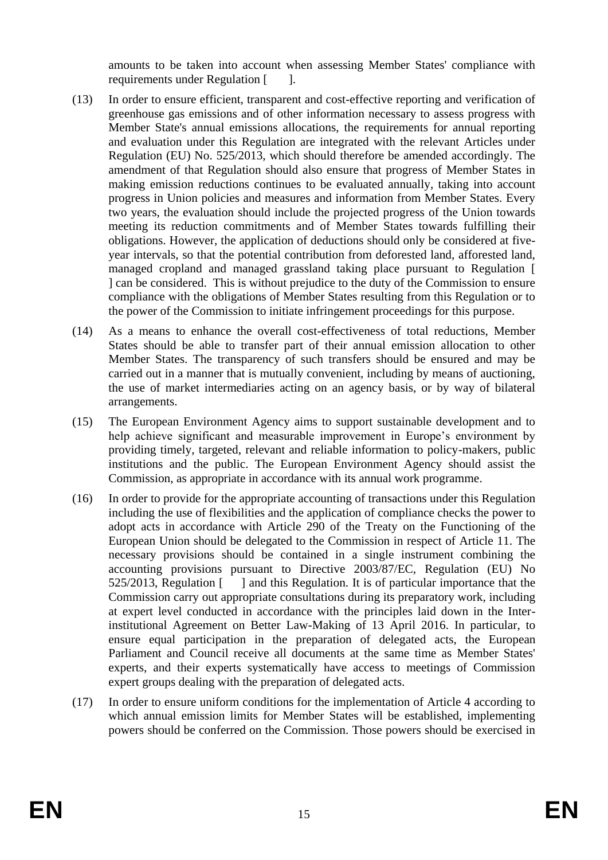amounts to be taken into account when assessing Member States' compliance with requirements under Regulation [ ].

- (13) In order to ensure efficient, transparent and cost-effective reporting and verification of greenhouse gas emissions and of other information necessary to assess progress with Member State's annual emissions allocations, the requirements for annual reporting and evaluation under this Regulation are integrated with the relevant Articles under Regulation (EU) No. 525/2013, which should therefore be amended accordingly. The amendment of that Regulation should also ensure that progress of Member States in making emission reductions continues to be evaluated annually, taking into account progress in Union policies and measures and information from Member States. Every two years, the evaluation should include the projected progress of the Union towards meeting its reduction commitments and of Member States towards fulfilling their obligations. However, the application of deductions should only be considered at fiveyear intervals, so that the potential contribution from deforested land, afforested land, managed cropland and managed grassland taking place pursuant to Regulation [ ] can be considered. This is without prejudice to the duty of the Commission to ensure compliance with the obligations of Member States resulting from this Regulation or to the power of the Commission to initiate infringement proceedings for this purpose.
- (14) As a means to enhance the overall cost-effectiveness of total reductions, Member States should be able to transfer part of their annual emission allocation to other Member States. The transparency of such transfers should be ensured and may be carried out in a manner that is mutually convenient, including by means of auctioning, the use of market intermediaries acting on an agency basis, or by way of bilateral arrangements.
- (15) The European Environment Agency aims to support sustainable development and to help achieve significant and measurable improvement in Europe's environment by providing timely, targeted, relevant and reliable information to policy-makers, public institutions and the public. The European Environment Agency should assist the Commission, as appropriate in accordance with its annual work programme.
- (16) In order to provide for the appropriate accounting of transactions under this Regulation including the use of flexibilities and the application of compliance checks the power to adopt acts in accordance with Article 290 of the Treaty on the Functioning of the European Union should be delegated to the Commission in respect of Article 11. The necessary provisions should be contained in a single instrument combining the accounting provisions pursuant to Directive 2003/87/EC, Regulation (EU) No 525/2013, Regulation [ ] and this Regulation. It is of particular importance that the Commission carry out appropriate consultations during its preparatory work, including at expert level conducted in accordance with the principles laid down in the Interinstitutional Agreement on Better Law-Making of 13 April 2016. In particular, to ensure equal participation in the preparation of delegated acts, the European Parliament and Council receive all documents at the same time as Member States' experts, and their experts systematically have access to meetings of Commission expert groups dealing with the preparation of delegated acts.
- (17) In order to ensure uniform conditions for the implementation of Article 4 according to which annual emission limits for Member States will be established, implementing powers should be conferred on the Commission. Those powers should be exercised in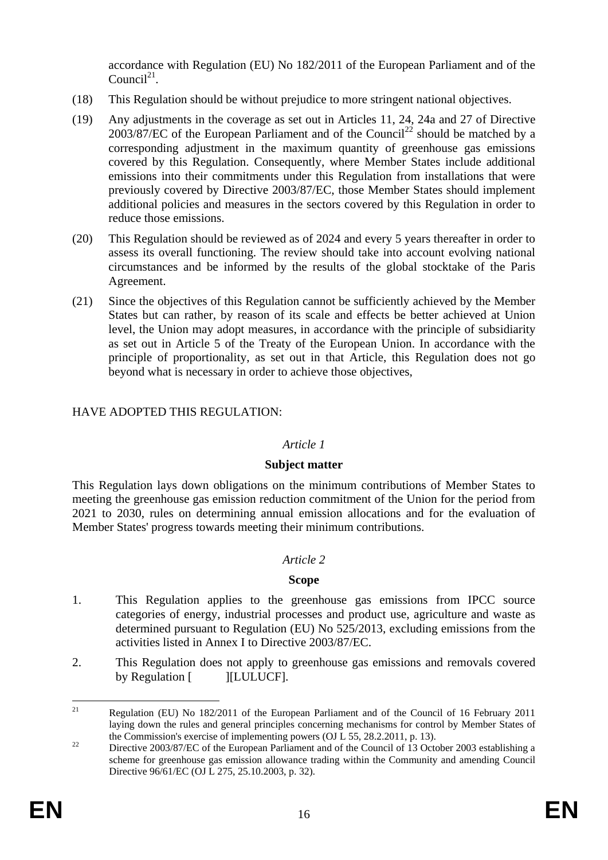accordance with Regulation (EU) No 182/2011 of the European Parliament and of the Council $2<sup>1</sup>$ .

- (18) This Regulation should be without prejudice to more stringent national objectives.
- (19) Any adjustments in the coverage as set out in Articles 11, 24, 24a and 27 of Directive  $2003/87/EC$  of the European Parliament and of the Council<sup>22</sup> should be matched by a corresponding adjustment in the maximum quantity of greenhouse gas emissions covered by this Regulation. Consequently, where Member States include additional emissions into their commitments under this Regulation from installations that were previously covered by Directive 2003/87/EC, those Member States should implement additional policies and measures in the sectors covered by this Regulation in order to reduce those emissions.
- (20) This Regulation should be reviewed as of 2024 and every 5 years thereafter in order to assess its overall functioning. The review should take into account evolving national circumstances and be informed by the results of the global stocktake of the Paris Agreement.
- (21) Since the objectives of this Regulation cannot be sufficiently achieved by the Member States but can rather, by reason of its scale and effects be better achieved at Union level, the Union may adopt measures, in accordance with the principle of subsidiarity as set out in Article 5 of the Treaty of the European Union. In accordance with the principle of proportionality, as set out in that Article, this Regulation does not go beyond what is necessary in order to achieve those objectives,

### HAVE ADOPTED THIS REGULATION:

#### *Article 1*

#### **Subject matter**

This Regulation lays down obligations on the minimum contributions of Member States to meeting the greenhouse gas emission reduction commitment of the Union for the period from 2021 to 2030, rules on determining annual emission allocations and for the evaluation of Member States' progress towards meeting their minimum contributions.

#### *Article 2*

#### **Scope**

- 1. This Regulation applies to the greenhouse gas emissions from IPCC source categories of energy, industrial processes and product use, agriculture and waste as determined pursuant to Regulation (EU) No 525/2013, excluding emissions from the activities listed in Annex I to Directive 2003/87/EC.
- 2. This Regulation does not apply to greenhouse gas emissions and removals covered by Regulation [ ][LULUCF].

 $21$ <sup>21</sup> Regulation (EU) No 182/2011 of the European Parliament and of the Council of 16 February 2011 laying down the rules and general principles concerning mechanisms for control by Member States of the Commission's exercise of implementing powers (OJ L 55, 28.2.2011, p. 13).

<sup>&</sup>lt;sup>22</sup> Directive 2003/87/EC of the European Parliament and of the Council of 13 October 2003 establishing a scheme for greenhouse gas emission allowance trading within the Community and amending Council Directive 96/61/EC (OJ L 275, 25.10.2003, p. 32).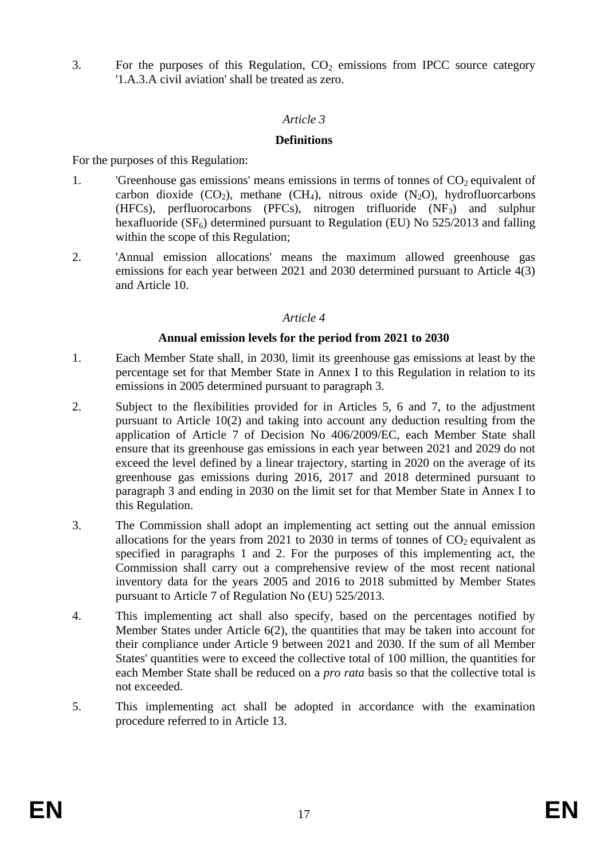3. For the purposes of this Regulation,  $CO<sub>2</sub>$  emissions from IPCC source category '1.A.3.A civil aviation' shall be treated as zero.

### *Article 3*

### **Definitions**

For the purposes of this Regulation:

- 1. 'Greenhouse gas emissions' means emissions in terms of tonnes of  $CO<sub>2</sub>$  equivalent of carbon dioxide  $(CO_2)$ , methane  $(CH_4)$ , nitrous oxide  $(N_2O)$ , hydrofluorcarbons (HFCs), perfluorocarbons (PFCs), nitrogen trifluoride  $(NF_3)$  and sulphur hexafluoride ( $SF<sub>6</sub>$ ) determined pursuant to Regulation (EU) No 525/2013 and falling within the scope of this Regulation;
- 2. 'Annual emission allocations' means the maximum allowed greenhouse gas emissions for each year between 2021 and 2030 determined pursuant to Article 4(3) and Article 10.

### *Article 4*

### **Annual emission levels for the period from 2021 to 2030**

- 1. Each Member State shall, in 2030, limit its greenhouse gas emissions at least by the percentage set for that Member State in Annex I to this Regulation in relation to its emissions in 2005 determined pursuant to paragraph 3.
- 2. Subject to the flexibilities provided for in Articles 5, 6 and 7, to the adjustment pursuant to Article 10(2) and taking into account any deduction resulting from the application of Article 7 of Decision No 406/2009/EC, each Member State shall ensure that its greenhouse gas emissions in each year between 2021 and 2029 do not exceed the level defined by a linear trajectory, starting in 2020 on the average of its greenhouse gas emissions during 2016, 2017 and 2018 determined pursuant to paragraph 3 and ending in 2030 on the limit set for that Member State in Annex I to this Regulation.
- 3. The Commission shall adopt an implementing act setting out the annual emission allocations for the years from 2021 to 2030 in terms of tonnes of  $CO<sub>2</sub>$  equivalent as specified in paragraphs 1 and 2. For the purposes of this implementing act, the Commission shall carry out a comprehensive review of the most recent national inventory data for the years 2005 and 2016 to 2018 submitted by Member States pursuant to Article 7 of Regulation No (EU) 525/2013.
- 4. This implementing act shall also specify, based on the percentages notified by Member States under Article 6(2), the quantities that may be taken into account for their compliance under Article 9 between 2021 and 2030. If the sum of all Member States' quantities were to exceed the collective total of 100 million, the quantities for each Member State shall be reduced on a *pro rata* basis so that the collective total is not exceeded.
- 5. This implementing act shall be adopted in accordance with the examination procedure referred to in Article 13.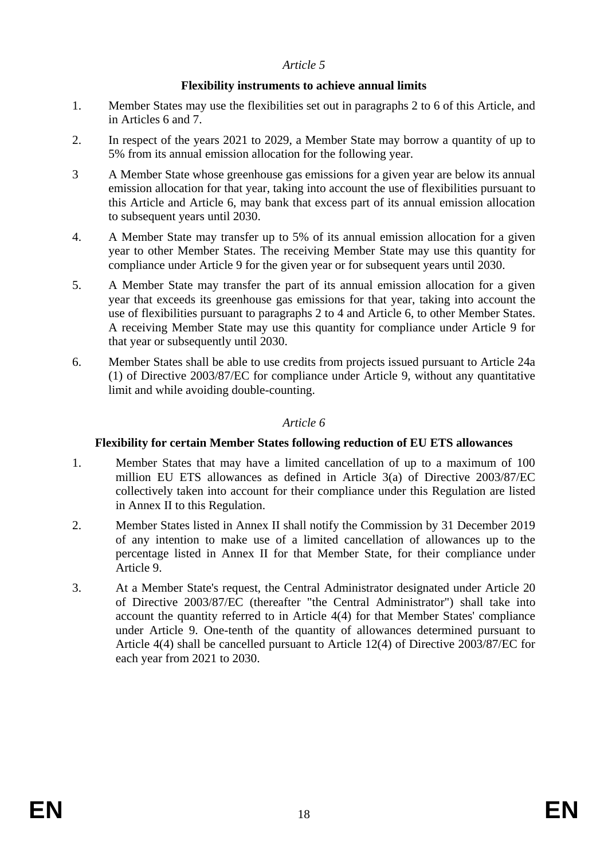### *Article 5*

### **Flexibility instruments to achieve annual limits**

- 1. Member States may use the flexibilities set out in paragraphs 2 to 6 of this Article, and in Articles 6 and 7.
- 2. In respect of the years 2021 to 2029, a Member State may borrow a quantity of up to 5% from its annual emission allocation for the following year.
- 3 A Member State whose greenhouse gas emissions for a given year are below its annual emission allocation for that year, taking into account the use of flexibilities pursuant to this Article and Article 6, may bank that excess part of its annual emission allocation to subsequent years until 2030.
- 4. A Member State may transfer up to 5% of its annual emission allocation for a given year to other Member States. The receiving Member State may use this quantity for compliance under Article 9 for the given year or for subsequent years until 2030.
- 5. A Member State may transfer the part of its annual emission allocation for a given year that exceeds its greenhouse gas emissions for that year, taking into account the use of flexibilities pursuant to paragraphs 2 to 4 and Article 6, to other Member States. A receiving Member State may use this quantity for compliance under Article 9 for that year or subsequently until 2030.
- 6. Member States shall be able to use credits from projects issued pursuant to Article 24a (1) of Directive 2003/87/EC for compliance under Article 9, without any quantitative limit and while avoiding double-counting.

### *Article 6*

#### **Flexibility for certain Member States following reduction of EU ETS allowances**

- 1. Member States that may have a limited cancellation of up to a maximum of 100 million EU ETS allowances as defined in Article 3(a) of Directive 2003/87/EC collectively taken into account for their compliance under this Regulation are listed in Annex II to this Regulation.
- 2. Member States listed in Annex II shall notify the Commission by 31 December 2019 of any intention to make use of a limited cancellation of allowances up to the percentage listed in Annex II for that Member State, for their compliance under Article 9.
- 3. At a Member State's request, the Central Administrator designated under Article 20 of Directive 2003/87/EC (thereafter "the Central Administrator") shall take into account the quantity referred to in Article 4(4) for that Member States' compliance under Article 9. One-tenth of the quantity of allowances determined pursuant to Article 4(4) shall be cancelled pursuant to Article 12(4) of Directive 2003/87/EC for each year from 2021 to 2030.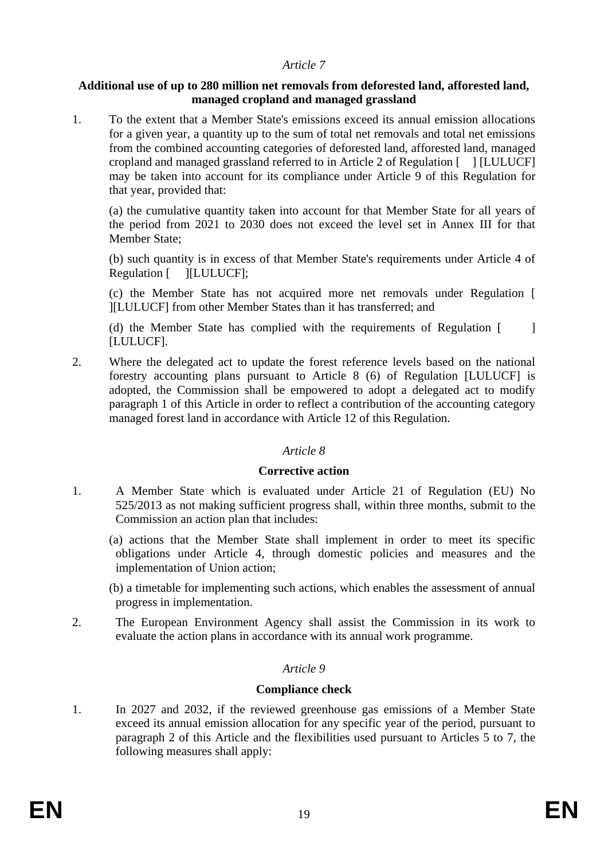#### *Article 7*

#### **Additional use of up to 280 million net removals from deforested land, afforested land, managed cropland and managed grassland**

1. To the extent that a Member State's emissions exceed its annual emission allocations for a given year, a quantity up to the sum of total net removals and total net emissions from the combined accounting categories of deforested land, afforested land, managed cropland and managed grassland referred to in Article 2 of Regulation [ ] [LULUCF] may be taken into account for its compliance under Article 9 of this Regulation for that year, provided that:

(a) the cumulative quantity taken into account for that Member State for all years of the period from 2021 to 2030 does not exceed the level set in Annex III for that Member State;

(b) such quantity is in excess of that Member State's requirements under Article 4 of Regulation [ ][LULUCF];

(c) the Member State has not acquired more net removals under Regulation [ ][LULUCF] from other Member States than it has transferred; and

(d) the Member State has complied with the requirements of Regulation [ ] [LULUCF].

2. Where the delegated act to update the forest reference levels based on the national forestry accounting plans pursuant to Article 8 (6) of Regulation [LULUCF] is adopted, the Commission shall be empowered to adopt a delegated act to modify paragraph 1 of this Article in order to reflect a contribution of the accounting category managed forest land in accordance with Article 12 of this Regulation.

#### *Article 8*

#### **Corrective action**

- 1. A Member State which is evaluated under Article 21 of Regulation (EU) No 525/2013 as not making sufficient progress shall, within three months, submit to the Commission an action plan that includes:
	- (a) actions that the Member State shall implement in order to meet its specific obligations under Article 4, through domestic policies and measures and the implementation of Union action;

(b) a timetable for implementing such actions, which enables the assessment of annual progress in implementation.

2. The European Environment Agency shall assist the Commission in its work to evaluate the action plans in accordance with its annual work programme.

#### *Article 9*

### **Compliance check**

1. In 2027 and 2032, if the reviewed greenhouse gas emissions of a Member State exceed its annual emission allocation for any specific year of the period, pursuant to paragraph 2 of this Article and the flexibilities used pursuant to Articles 5 to 7, the following measures shall apply: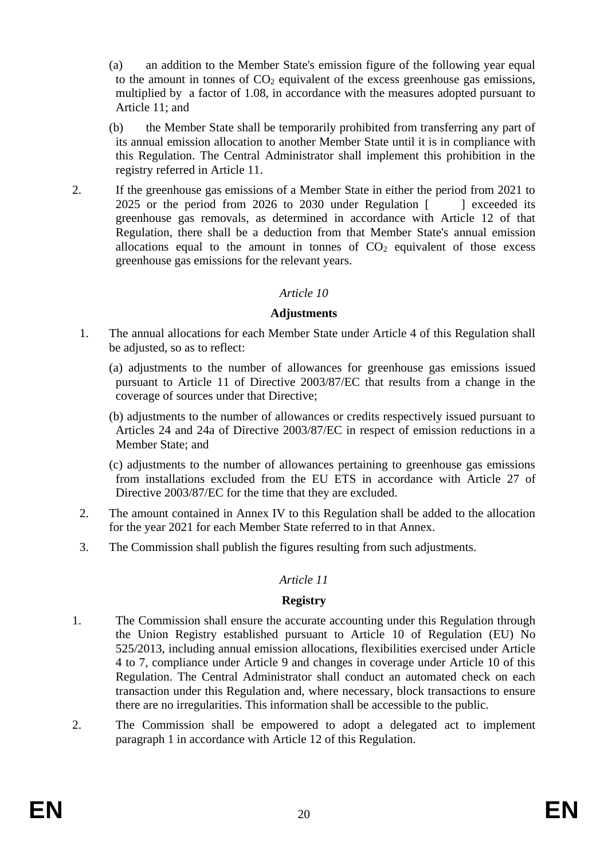(a) an addition to the Member State's emission figure of the following year equal to the amount in tonnes of  $CO<sub>2</sub>$  equivalent of the excess greenhouse gas emissions, multiplied by a factor of 1.08, in accordance with the measures adopted pursuant to Article 11; and

(b) the Member State shall be temporarily prohibited from transferring any part of its annual emission allocation to another Member State until it is in compliance with this Regulation. The Central Administrator shall implement this prohibition in the registry referred in Article 11.

2. If the greenhouse gas emissions of a Member State in either the period from 2021 to 2025 or the period from 2026 to 2030 under Regulation [ ] exceeded its greenhouse gas removals, as determined in accordance with Article 12 of that Regulation, there shall be a deduction from that Member State's annual emission allocations equal to the amount in tonnes of  $CO<sub>2</sub>$  equivalent of those excess greenhouse gas emissions for the relevant years.

#### *Article 10*

### **Adjustments**

- 1. The annual allocations for each Member State under Article 4 of this Regulation shall be adjusted, so as to reflect:
	- (a) adjustments to the number of allowances for greenhouse gas emissions issued pursuant to Article 11 of Directive 2003/87/EC that results from a change in the coverage of sources under that Directive;
	- (b) adjustments to the number of allowances or credits respectively issued pursuant to Articles 24 and 24a of Directive 2003/87/EC in respect of emission reductions in a Member State; and
	- (c) adjustments to the number of allowances pertaining to greenhouse gas emissions from installations excluded from the EU ETS in accordance with Article 27 of Directive 2003/87/EC for the time that they are excluded.
- 2. The amount contained in Annex IV to this Regulation shall be added to the allocation for the year 2021 for each Member State referred to in that Annex.
- 3. The Commission shall publish the figures resulting from such adjustments.

### *Article 11*

### **Registry**

- 1. The Commission shall ensure the accurate accounting under this Regulation through the Union Registry established pursuant to Article 10 of Regulation (EU) No 525/2013, including annual emission allocations, flexibilities exercised under Article 4 to 7, compliance under Article 9 and changes in coverage under Article 10 of this Regulation. The Central Administrator shall conduct an automated check on each transaction under this Regulation and, where necessary, block transactions to ensure there are no irregularities. This information shall be accessible to the public.
- 2. The Commission shall be empowered to adopt a delegated act to implement paragraph 1 in accordance with Article 12 of this Regulation.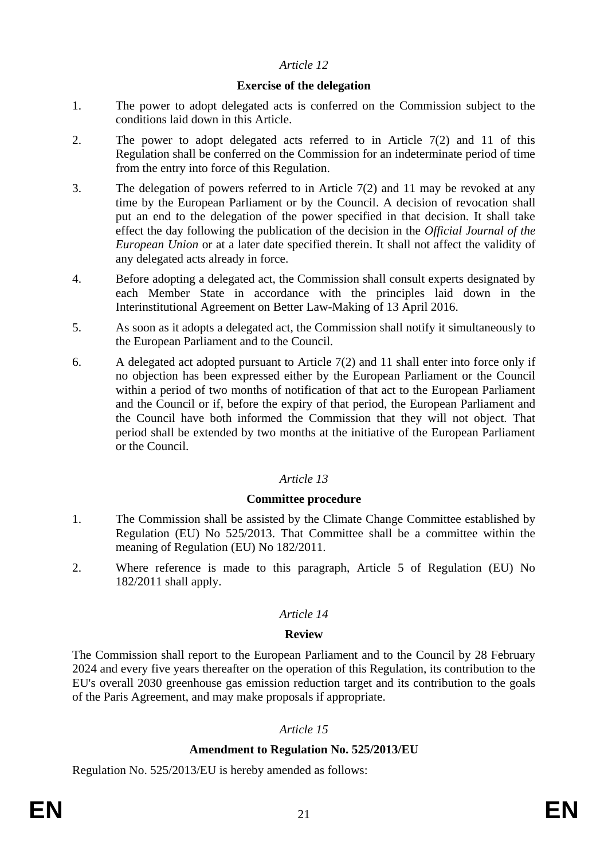### *Article 12*

#### **Exercise of the delegation**

- 1. The power to adopt delegated acts is conferred on the Commission subject to the conditions laid down in this Article.
- 2. The power to adopt delegated acts referred to in Article 7(2) and 11 of this Regulation shall be conferred on the Commission for an indeterminate period of time from the entry into force of this Regulation.
- 3. The delegation of powers referred to in Article 7(2) and 11 may be revoked at any time by the European Parliament or by the Council. A decision of revocation shall put an end to the delegation of the power specified in that decision. It shall take effect the day following the publication of the decision in the *Official Journal of the European Union* or at a later date specified therein. It shall not affect the validity of any delegated acts already in force.
- 4. Before adopting a delegated act, the Commission shall consult experts designated by each Member State in accordance with the principles laid down in the Interinstitutional Agreement on Better Law-Making of 13 April 2016.
- 5. As soon as it adopts a delegated act, the Commission shall notify it simultaneously to the European Parliament and to the Council.
- 6. A delegated act adopted pursuant to Article 7(2) and 11 shall enter into force only if no objection has been expressed either by the European Parliament or the Council within a period of two months of notification of that act to the European Parliament and the Council or if, before the expiry of that period, the European Parliament and the Council have both informed the Commission that they will not object. That period shall be extended by two months at the initiative of the European Parliament or the Council.

### *Article 13*

#### **Committee procedure**

- 1. The Commission shall be assisted by the Climate Change Committee established by Regulation (EU) No 525/2013. That Committee shall be a committee within the meaning of Regulation (EU) No 182/2011.
- 2. Where reference is made to this paragraph, Article 5 of Regulation (EU) No 182/2011 shall apply.

#### *Article 14*

#### **Review**

The Commission shall report to the European Parliament and to the Council by 28 February 2024 and every five years thereafter on the operation of this Regulation, its contribution to the EU's overall 2030 greenhouse gas emission reduction target and its contribution to the goals of the Paris Agreement, and may make proposals if appropriate.

### *Article 15*

#### **Amendment to Regulation No. 525/2013/EU**

Regulation No. 525/2013/EU is hereby amended as follows: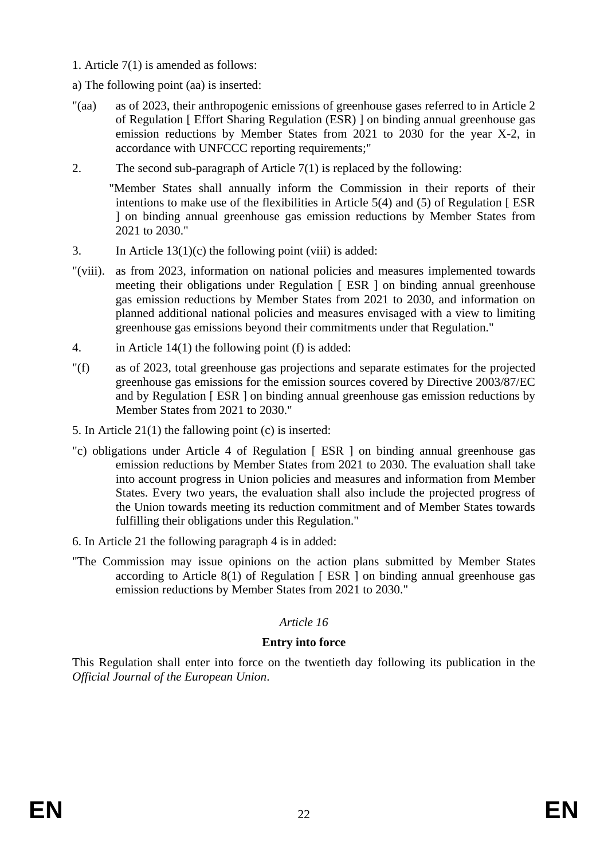- 1. Article 7(1) is amended as follows:
- a) The following point (aa) is inserted:
- "(aa) as of 2023, their anthropogenic emissions of greenhouse gases referred to in Article 2 of Regulation [ Effort Sharing Regulation (ESR) ] on binding annual greenhouse gas emission reductions by Member States from 2021 to 2030 for the year X-2, in accordance with UNFCCC reporting requirements;"
- 2. The second sub-paragraph of Article  $7(1)$  is replaced by the following:

"Member States shall annually inform the Commission in their reports of their intentions to make use of the flexibilities in Article 5(4) and (5) of Regulation [ ESR ] on binding annual greenhouse gas emission reductions by Member States from 2021 to 2030."

- 3. In Article 13(1)(c) the following point (viii) is added:
- "(viii). as from 2023, information on national policies and measures implemented towards meeting their obligations under Regulation [ ESR ] on binding annual greenhouse gas emission reductions by Member States from 2021 to 2030, and information on planned additional national policies and measures envisaged with a view to limiting greenhouse gas emissions beyond their commitments under that Regulation."
- 4. in Article 14(1) the following point (f) is added:
- "(f) as of 2023, total greenhouse gas projections and separate estimates for the projected greenhouse gas emissions for the emission sources covered by Directive 2003/87/EC and by Regulation [ ESR ] on binding annual greenhouse gas emission reductions by Member States from 2021 to 2030."
- 5. In Article 21(1) the fallowing point (c) is inserted:
- "c) obligations under Article 4 of Regulation [ ESR ] on binding annual greenhouse gas emission reductions by Member States from 2021 to 2030. The evaluation shall take into account progress in Union policies and measures and information from Member States. Every two years, the evaluation shall also include the projected progress of the Union towards meeting its reduction commitment and of Member States towards fulfilling their obligations under this Regulation."
- 6. In Article 21 the following paragraph 4 is in added:
- "The Commission may issue opinions on the action plans submitted by Member States according to Article  $8(1)$  of Regulation [ESR ] on binding annual greenhouse gas emission reductions by Member States from 2021 to 2030."

# *Article 16*

### **Entry into force**

This Regulation shall enter into force on the twentieth day following its publication in the *Official Journal of the European Union*.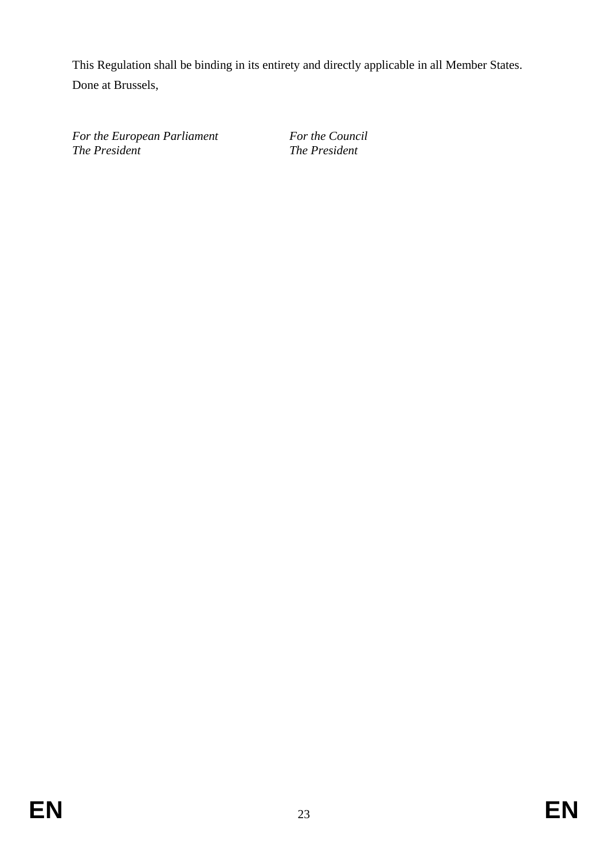This Regulation shall be binding in its entirety and directly applicable in all Member States. Done at Brussels,

*For the European Parliament For the Council The President The President*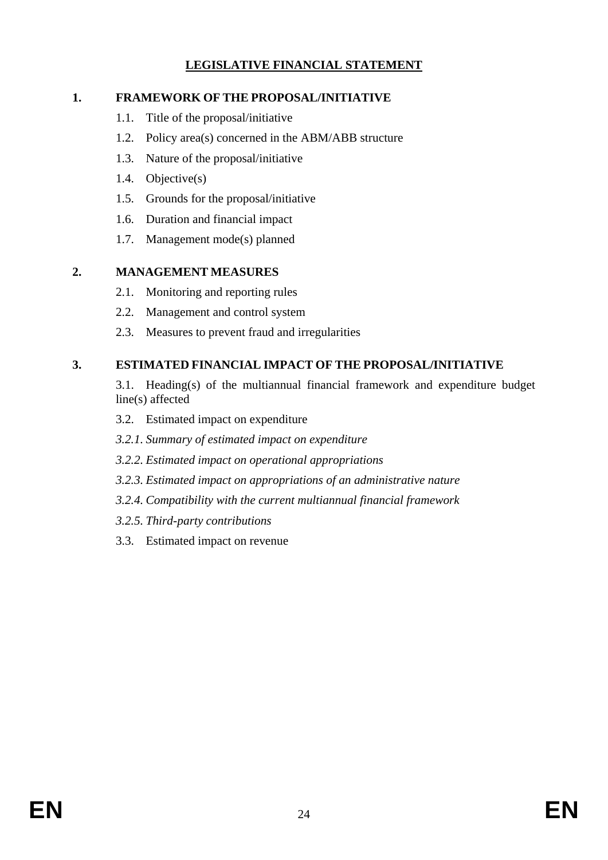# **LEGISLATIVE FINANCIAL STATEMENT**

# **1. FRAMEWORK OF THE PROPOSAL/INITIATIVE**

- 1.1. Title of the proposal/initiative
- 1.2. Policy area(s) concerned in the ABM/ABB structure
- 1.3. Nature of the proposal/initiative
- 1.4. Objective(s)
- 1.5. Grounds for the proposal/initiative
- 1.6. Duration and financial impact
- 1.7. Management mode(s) planned

# **2. MANAGEMENT MEASURES**

- 2.1. Monitoring and reporting rules
- 2.2. Management and control system
- 2.3. Measures to prevent fraud and irregularities

# **3. ESTIMATED FINANCIAL IMPACT OF THE PROPOSAL/INITIATIVE**

- 3.1. Heading(s) of the multiannual financial framework and expenditure budget line(s) affected
- 3.2. Estimated impact on expenditure
- *3.2.1. Summary of estimated impact on expenditure*
- *3.2.2. Estimated impact on operational appropriations*
- *3.2.3. Estimated impact on appropriations of an administrative nature*
- *3.2.4. Compatibility with the current multiannual financial framework*
- *3.2.5. Third-party contributions*
- 3.3. Estimated impact on revenue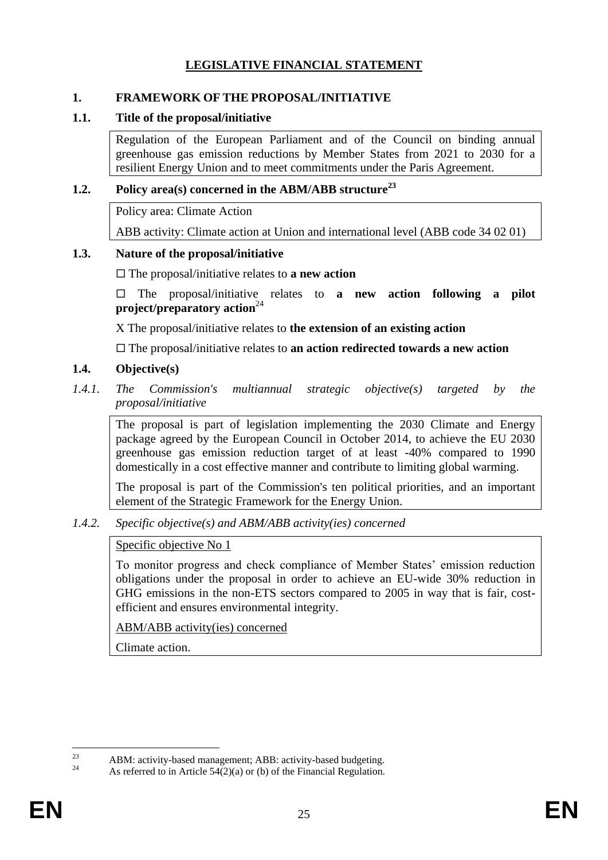# **LEGISLATIVE FINANCIAL STATEMENT**

#### **1. FRAMEWORK OF THE PROPOSAL/INITIATIVE**

#### **1.1. Title of the proposal/initiative**

Regulation of the European Parliament and of the Council on binding annual greenhouse gas emission reductions by Member States from 2021 to 2030 for a resilient Energy Union and to meet commitments under the Paris Agreement.

### **1.2. Policy area(s) concerned in the ABM/ABB structure<sup>23</sup>**

Policy area: Climate Action

ABB activity: Climate action at Union and international level (ABB code 34 02 01)

#### **1.3. Nature of the proposal/initiative**

The proposal/initiative relates to **a new action**

 The proposal/initiative relates to **a new action following a pilot project/preparatory action**<sup>24</sup>

X The proposal/initiative relates to **the extension of an existing action**

The proposal/initiative relates to **an action redirected towards a new action**

#### **1.4. Objective(s)**

*1.4.1. The Commission's multiannual strategic objective(s) targeted by the proposal/initiative* 

The proposal is part of legislation implementing the 2030 Climate and Energy package agreed by the European Council in October 2014, to achieve the EU 2030 greenhouse gas emission reduction target of at least -40% compared to 1990 domestically in a cost effective manner and contribute to limiting global warming.

The proposal is part of the Commission's ten political priorities, and an important element of the Strategic Framework for the Energy Union.

#### *1.4.2. Specific objective(s) and ABM/ABB activity(ies) concerned*

#### Specific objective No 1

To monitor progress and check compliance of Member States' emission reduction obligations under the proposal in order to achieve an EU-wide 30% reduction in GHG emissions in the non-ETS sectors compared to 2005 in way that is fair, costefficient and ensures environmental integrity.

ABM/ABB activity(ies) concerned

Climate action.

 $23$ <sup>23</sup> ABM: activity-based management; ABB: activity-based budgeting.

As referred to in Article  $54(2)(a)$  or (b) of the Financial Regulation.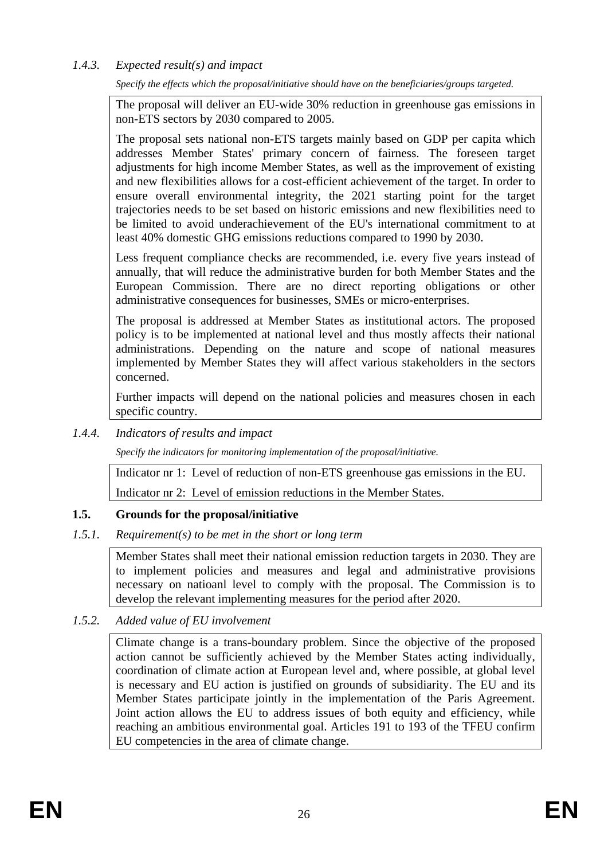# *1.4.3. Expected result(s) and impact*

*Specify the effects which the proposal/initiative should have on the beneficiaries/groups targeted.*

The proposal will deliver an EU-wide 30% reduction in greenhouse gas emissions in non-ETS sectors by 2030 compared to 2005.

The proposal sets national non-ETS targets mainly based on GDP per capita which addresses Member States' primary concern of fairness. The foreseen target adjustments for high income Member States, as well as the improvement of existing and new flexibilities allows for a cost-efficient achievement of the target. In order to ensure overall environmental integrity, the 2021 starting point for the target trajectories needs to be set based on historic emissions and new flexibilities need to be limited to avoid underachievement of the EU's international commitment to at least 40% domestic GHG emissions reductions compared to 1990 by 2030.

Less frequent compliance checks are recommended, i.e. every five years instead of annually, that will reduce the administrative burden for both Member States and the European Commission. There are no direct reporting obligations or other administrative consequences for businesses, SMEs or micro-enterprises.

The proposal is addressed at Member States as institutional actors. The proposed policy is to be implemented at national level and thus mostly affects their national administrations. Depending on the nature and scope of national measures implemented by Member States they will affect various stakeholders in the sectors concerned.

Further impacts will depend on the national policies and measures chosen in each specific country.

### *1.4.4. Indicators of results and impact*

*Specify the indicators for monitoring implementation of the proposal/initiative.*

Indicator nr 1: Level of reduction of non-ETS greenhouse gas emissions in the EU.

Indicator nr 2: Level of emission reductions in the Member States.

# **1.5. Grounds for the proposal/initiative**

### *1.5.1. Requirement(s) to be met in the short or long term*

Member States shall meet their national emission reduction targets in 2030. They are to implement policies and measures and legal and administrative provisions necessary on natioanl level to comply with the proposal. The Commission is to develop the relevant implementing measures for the period after 2020.

### *1.5.2. Added value of EU involvement*

Climate change is a trans-boundary problem. Since the objective of the proposed action cannot be sufficiently achieved by the Member States acting individually, coordination of climate action at European level and, where possible, at global level is necessary and EU action is justified on grounds of subsidiarity. The EU and its Member States participate jointly in the implementation of the Paris Agreement. Joint action allows the EU to address issues of both equity and efficiency, while reaching an ambitious environmental goal. Articles 191 to 193 of the TFEU confirm EU competencies in the area of climate change.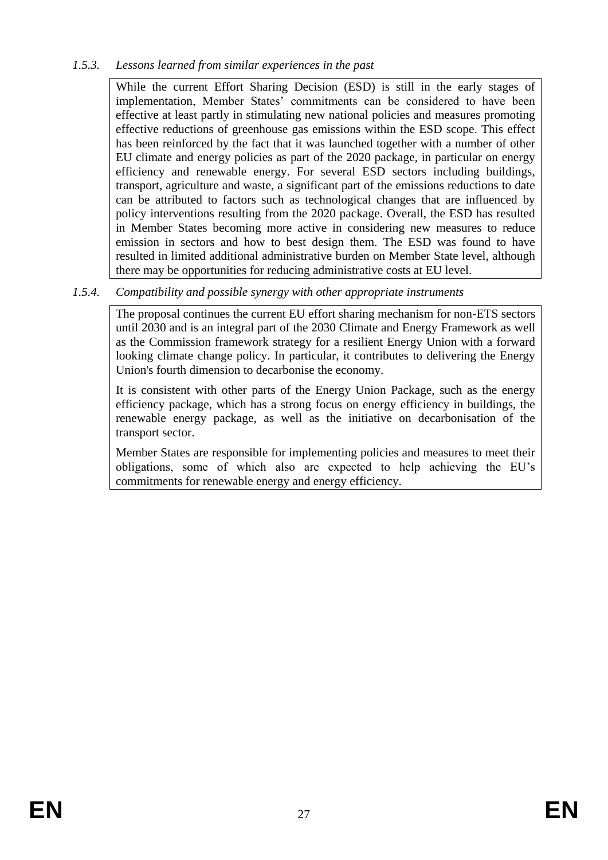# *1.5.3. Lessons learned from similar experiences in the past*

While the current Effort Sharing Decision (ESD) is still in the early stages of implementation, Member States' commitments can be considered to have been effective at least partly in stimulating new national policies and measures promoting effective reductions of greenhouse gas emissions within the ESD scope. This effect has been reinforced by the fact that it was launched together with a number of other EU climate and energy policies as part of the 2020 package, in particular on energy efficiency and renewable energy. For several ESD sectors including buildings, transport, agriculture and waste, a significant part of the emissions reductions to date can be attributed to factors such as technological changes that are influenced by policy interventions resulting from the 2020 package. Overall, the ESD has resulted in Member States becoming more active in considering new measures to reduce emission in sectors and how to best design them. The ESD was found to have resulted in limited additional administrative burden on Member State level, although there may be opportunities for reducing administrative costs at EU level.

# *1.5.4. Compatibility and possible synergy with other appropriate instruments*

The proposal continues the current EU effort sharing mechanism for non-ETS sectors until 2030 and is an integral part of the 2030 Climate and Energy Framework as well as the Commission framework strategy for a resilient Energy Union with a forward looking climate change policy. In particular, it contributes to delivering the Energy Union's fourth dimension to decarbonise the economy.

It is consistent with other parts of the Energy Union Package, such as the energy efficiency package, which has a strong focus on energy efficiency in buildings, the renewable energy package, as well as the initiative on decarbonisation of the transport sector.

Member States are responsible for implementing policies and measures to meet their obligations, some of which also are expected to help achieving the EU's commitments for renewable energy and energy efficiency.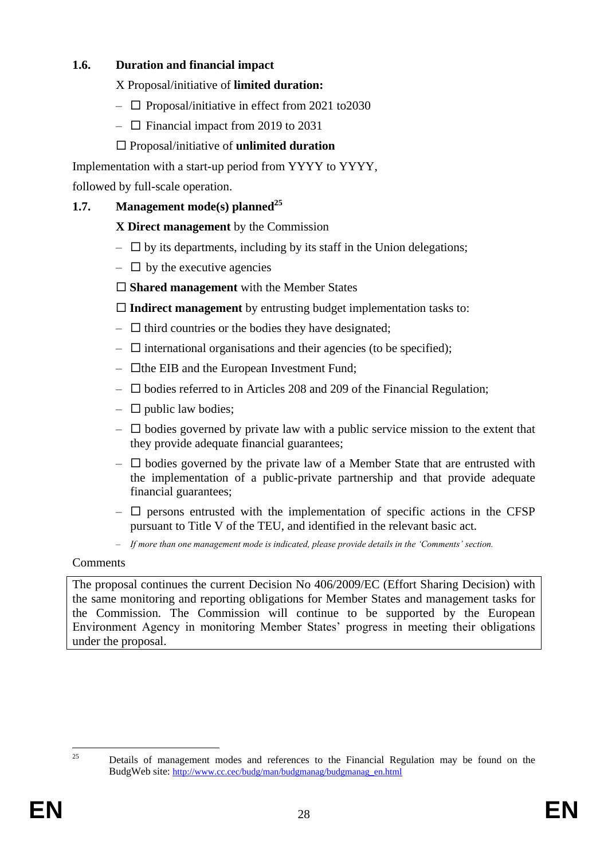# **1.6. Duration and financial impact**

X Proposal/initiative of **limited duration:** 

- $\Box$  Proposal/initiative in effect from 2021 to 2030
- $\Box$  Financial impact from 2019 to 2031

# Proposal/initiative of **unlimited duration**

Implementation with a start-up period from YYYY to YYYY,

followed by full-scale operation.

# **1.7. Management mode(s) planned<sup>25</sup>**

# **X Direct management** by the Commission

- $\Box$  by its departments, including by its staff in the Union delegations;
- $\Box$  by the executive agencies
- **Shared management** with the Member States

**Indirect management** by entrusting budget implementation tasks to:

- $\Box$  third countries or the bodies they have designated;
- $\Box$  international organisations and their agencies (to be specified);
- $\Box$  the EIB and the European Investment Fund;
- $\square$  bodies referred to in Articles 208 and 209 of the Financial Regulation;
- $\Box$  public law bodies;
- $\Box$  bodies governed by private law with a public service mission to the extent that they provide adequate financial guarantees;
- $\Box$  bodies governed by the private law of a Member State that are entrusted with the implementation of a public-private partnership and that provide adequate financial guarantees;
- $\Box$  persons entrusted with the implementation of specific actions in the CFSP pursuant to Title V of the TEU, and identified in the relevant basic act.
- *If more than one management mode is indicated, please provide details in the 'Comments' section.*

### **Comments**

The proposal continues the current Decision No 406/2009/EC (Effort Sharing Decision) with the same monitoring and reporting obligations for Member States and management tasks for the Commission. The Commission will continue to be supported by the European Environment Agency in monitoring Member States' progress in meeting their obligations under the proposal.

 $25$ <sup>25</sup> Details of management modes and references to the Financial Regulation may be found on the BudgWeb site: [http://www.cc.cec/budg/man/budgmanag/budgmanag\\_en.html](http://www.cc.cec/budg/man/budgmanag/budgmanag_en.html)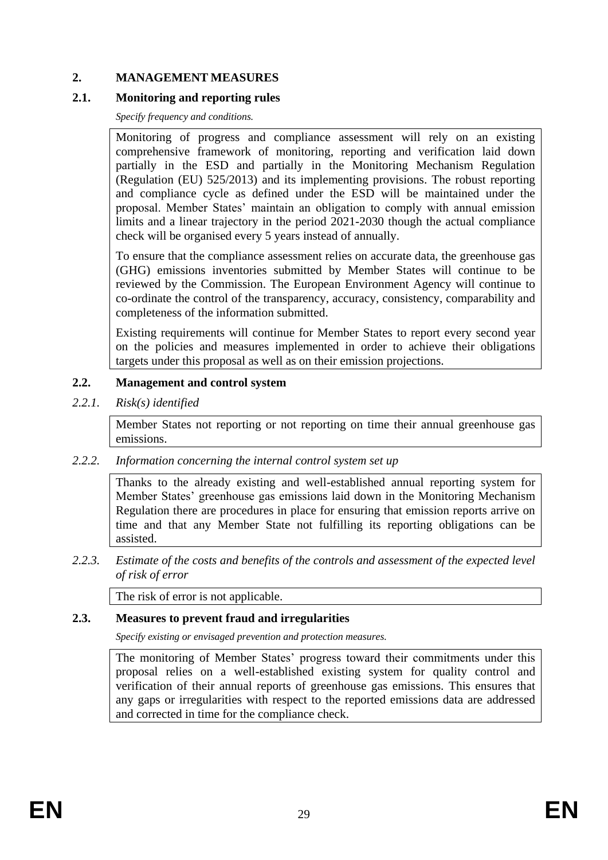### **2. MANAGEMENT MEASURES**

### **2.1. Monitoring and reporting rules**

*Specify frequency and conditions.*

Monitoring of progress and compliance assessment will rely on an existing comprehensive framework of monitoring, reporting and verification laid down partially in the ESD and partially in the Monitoring Mechanism Regulation (Regulation (EU) 525/2013) and its implementing provisions. The robust reporting and compliance cycle as defined under the ESD will be maintained under the proposal. Member States' maintain an obligation to comply with annual emission limits and a linear trajectory in the period 2021-2030 though the actual compliance check will be organised every 5 years instead of annually.

To ensure that the compliance assessment relies on accurate data, the greenhouse gas (GHG) emissions inventories submitted by Member States will continue to be reviewed by the Commission. The European Environment Agency will continue to co-ordinate the control of the transparency, accuracy, consistency, comparability and completeness of the information submitted.

Existing requirements will continue for Member States to report every second year on the policies and measures implemented in order to achieve their obligations targets under this proposal as well as on their emission projections.

### **2.2. Management and control system**

*2.2.1. Risk(s) identified* 

Member States not reporting or not reporting on time their annual greenhouse gas emissions.

*2.2.2. Information concerning the internal control system set up*

Thanks to the already existing and well-established annual reporting system for Member States' greenhouse gas emissions laid down in the Monitoring Mechanism Regulation there are procedures in place for ensuring that emission reports arrive on time and that any Member State not fulfilling its reporting obligations can be assisted.

*2.2.3. Estimate of the costs and benefits of the controls and assessment of the expected level of risk of error* 

The risk of error is not applicable.

#### **2.3. Measures to prevent fraud and irregularities**

*Specify existing or envisaged prevention and protection measures.*

The monitoring of Member States' progress toward their commitments under this proposal relies on a well-established existing system for quality control and verification of their annual reports of greenhouse gas emissions. This ensures that any gaps or irregularities with respect to the reported emissions data are addressed and corrected in time for the compliance check.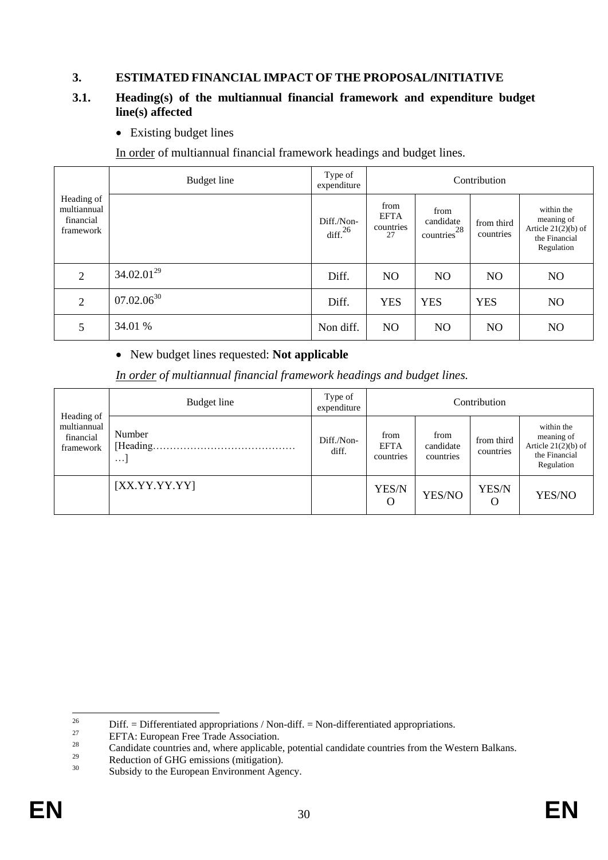### **3. ESTIMATED FINANCIAL IMPACT OF THE PROPOSAL/INITIATIVE**

### **3.1. Heading(s) of the multiannual financial framework and expenditure budget line(s) affected**

• Existing budget lines

In order of multiannual financial framework headings and budget lines.

|                                                     | Budget line     | Type of<br>expenditure   |                                        |                                              | Contribution            |                                                                                  |
|-----------------------------------------------------|-----------------|--------------------------|----------------------------------------|----------------------------------------------|-------------------------|----------------------------------------------------------------------------------|
| Heading of<br>multiannual<br>financial<br>framework |                 | Diff./Non-<br>diff. $26$ | from<br><b>EFTA</b><br>countries<br>27 | from<br>candidate<br>countries <sup>28</sup> | from third<br>countries | within the<br>meaning of<br>Article $21(2)(b)$ of<br>the Financial<br>Regulation |
| 2                                                   | $34.02.01^{29}$ | Diff.                    | N <sub>O</sub>                         | N <sub>O</sub>                               | N <sub>O</sub>          | N <sub>O</sub>                                                                   |
| 2                                                   | $07.02.06^{30}$ | Diff.                    | <b>YES</b>                             | <b>YES</b>                                   | <b>YES</b>              | N <sub>O</sub>                                                                   |
| 5                                                   | 34.01 %         | Non diff.                | N <sub>O</sub>                         | N <sub>O</sub>                               | N <sub>O</sub>          | N <sub>O</sub>                                                                   |

### New budget lines requested: **Not applicable**

*In order of multiannual financial framework headings and budget lines.*

| Heading of                            | Budget line                    | Type of<br>expenditure |                                  |                                | Contribution            |                                                                                  |
|---------------------------------------|--------------------------------|------------------------|----------------------------------|--------------------------------|-------------------------|----------------------------------------------------------------------------------|
| multiannual<br>financial<br>framework | Number<br>[Heading<br>$\cdots$ | Diff./Non-<br>diff.    | from<br><b>EFTA</b><br>countries | from<br>candidate<br>countries | from third<br>countries | within the<br>meaning of<br>Article $21(2)(b)$ of<br>the Financial<br>Regulation |
|                                       | [XX.YY.YY.YY]                  |                        | YES/N<br>O                       | YES/NO                         | YES/N<br>O              | YES/NO                                                                           |

 $26\,$ <sup>26</sup> Diff. = Differentiated appropriations / Non-diff. = Non-differentiated appropriations.<br>
EETA: European Free Trede Association

<sup>&</sup>lt;sup>27</sup> EFTA: European Free Trade Association.<br> **Example 28** Condidate countries and whome annual condicable

<sup>&</sup>lt;sup>28</sup><br>Candidate countries and, where applicable, potential candidate countries from the Western Balkans.<br> $R_{\text{e}}$ 

<sup>&</sup>lt;sup>29</sup><br>Reduction of GHG emissions (mitigation).<br> $^{29}$ <br>Subsidiate the European Emisson and Apple

Subsidy to the European Environment Agency.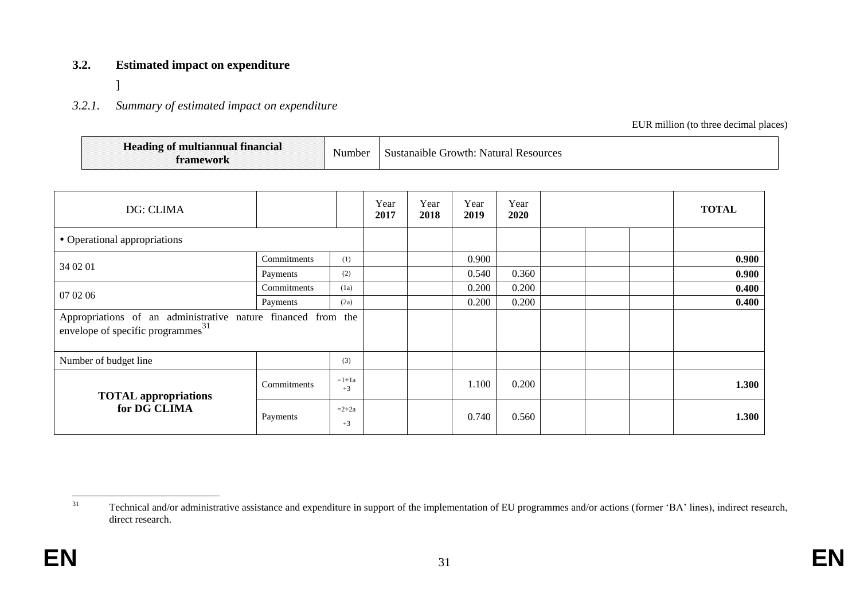### **3.2. Estimated impact on expenditure**

]

# *3.2.1. Summary of estimated impact on expenditure*

EUR million (to three decimal places)

| <b>Heading of multiannual financial</b><br>framework | Number | <sup>1</sup> Sustanaible Growth: Natural Resources |
|------------------------------------------------------|--------|----------------------------------------------------|
|------------------------------------------------------|--------|----------------------------------------------------|

| DG: CLIMA                                                                                                     |             |                 | Year<br>2017 | Year<br>2018 | Year<br>2019 | Year<br>2020 |  | <b>TOTAL</b> |
|---------------------------------------------------------------------------------------------------------------|-------------|-----------------|--------------|--------------|--------------|--------------|--|--------------|
| • Operational appropriations                                                                                  |             |                 |              |              |              |              |  |              |
|                                                                                                               | Commitments | (1)             |              |              | 0.900        |              |  | 0.900        |
| 34 02 01                                                                                                      | Payments    | (2)             |              |              | 0.540        | 0.360        |  | 0.900        |
| 07 02 06                                                                                                      | Commitments | (1a)            |              |              | 0.200        | 0.200        |  | 0.400        |
|                                                                                                               | Payments    | (2a)            |              |              | 0.200        | 0.200        |  | 0.400        |
| Appropriations of an administrative nature financed from the<br>envelope of specific programmes <sup>31</sup> |             |                 |              |              |              |              |  |              |
| Number of budget line                                                                                         |             | (3)             |              |              |              |              |  |              |
| <b>TOTAL</b> appropriations                                                                                   | Commitments | $=1+1a$<br>$+3$ |              |              | 1.100        | 0.200        |  | 1.300        |
| for DG CLIMA                                                                                                  | Payments    | $=2+2a$<br>$+3$ |              |              | 0.740        | 0.560        |  | 1.300        |

<sup>31</sup> Technical and/or administrative assistance and expenditure in support of the implementation of EU programmes and/or actions (former 'BA' lines), indirect research, direct research.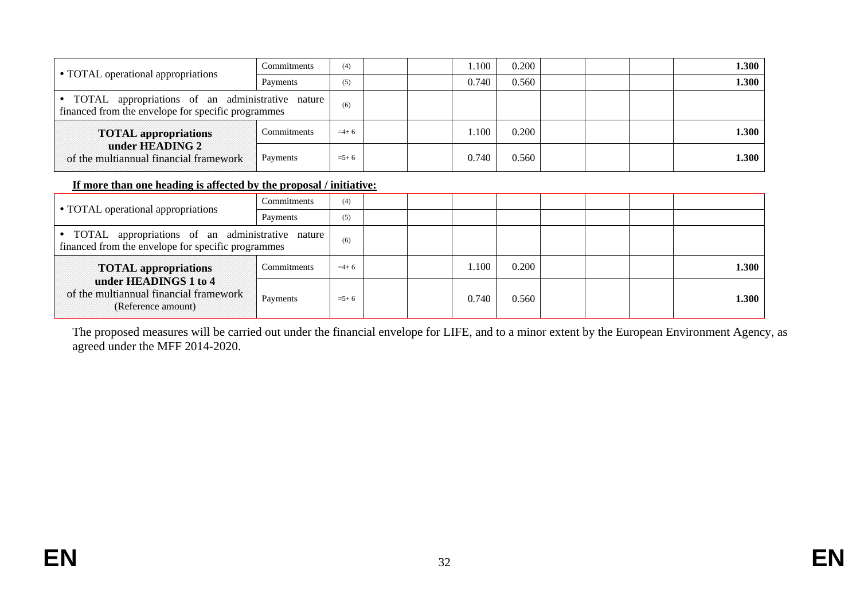|                                                                                                        | Commitments | (4)       |  | 1.100 | 0.200 |  | 1.300 |
|--------------------------------------------------------------------------------------------------------|-------------|-----------|--|-------|-------|--|-------|
| • TOTAL operational appropriations                                                                     | Payments    | (5)       |  | 0.740 | 0.560 |  | 1.300 |
| TOTAL appropriations of an administrative nature<br>financed from the envelope for specific programmes |             | (6)       |  |       |       |  |       |
| <b>TOTAL</b> appropriations                                                                            | Commitments | $=4+6$    |  | .100  | 0.200 |  | 1.300 |
| under HEADING 2<br>of the multiannual financial framework                                              | Payments    | $= 5 + 6$ |  | 0.740 | 0.560 |  | 1.300 |

### **If more than one heading is affected by the proposal / initiative:**

|                                                                                                          | Commitments | (4)       |  |       |       |  |       |
|----------------------------------------------------------------------------------------------------------|-------------|-----------|--|-------|-------|--|-------|
| • TOTAL operational appropriations                                                                       | Payments    | (5)       |  |       |       |  |       |
| • TOTAL appropriations of an administrative nature<br>financed from the envelope for specific programmes |             | (6)       |  |       |       |  |       |
| <b>TOTAL appropriations</b>                                                                              | Commitments | $=4+6$    |  | .100  | 0.200 |  | 1.300 |
| under HEADINGS 1 to 4<br>of the multiannual financial framework<br>(Reference amount)                    | Payments    | $= 5 + 6$ |  | 0.740 | 0.560 |  | 1.300 |

The proposed measures will be carried out under the financial envelope for LIFE, and to a minor extent by the European Environment Agency, as agreed under the MFF 2014-2020.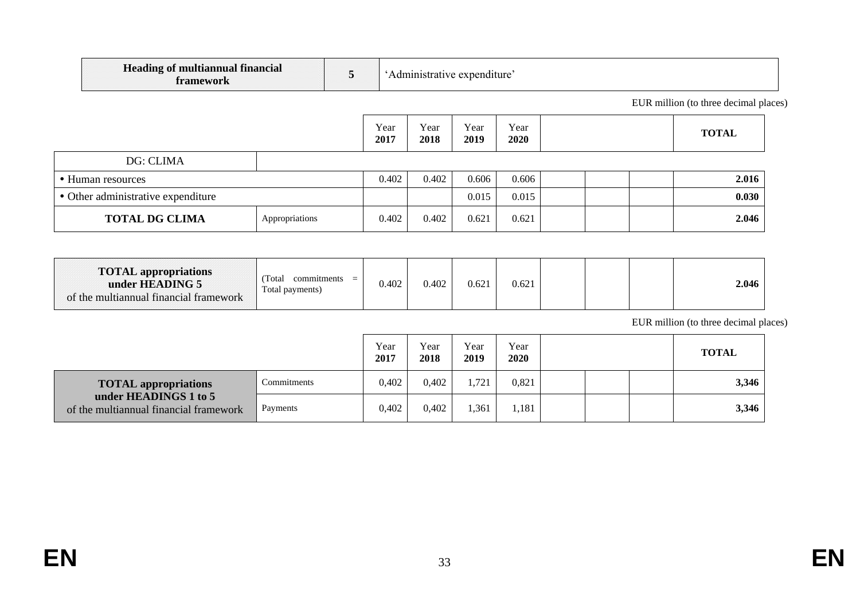| A Heading of multiannual financial<br>framework |  | e expenditure :<br>Administrative |
|-------------------------------------------------|--|-----------------------------------|
|-------------------------------------------------|--|-----------------------------------|

EUR million (to three decimal places)

|                                    |                | Year<br>2017 | Year<br>2018 | Year<br>2019 | Year<br>2020 | <b>TOTAL</b> |
|------------------------------------|----------------|--------------|--------------|--------------|--------------|--------------|
| DG: CLIMA                          |                |              |              |              |              |              |
| • Human resources                  |                | 0.402        | 0.402        | 0.606        | 0.606        | 2.016        |
| • Other administrative expenditure |                |              |              | 0.015        | 0.015        | 0.030        |
| <b>TOTAL DG CLIMA</b>              | Appropriations | 0.402        | 0.402        | 0.621        | 0.621        | 2.046        |

| <b>TOTAL appropriations</b><br>under HEADING 5<br>of the multiannual financial framework | Total<br>commitments<br>$=$<br>Total payments) | 0.402 | 0.402 | 0.621 | 0.621 |  |  |  | 2.046 |
|------------------------------------------------------------------------------------------|------------------------------------------------|-------|-------|-------|-------|--|--|--|-------|
|------------------------------------------------------------------------------------------|------------------------------------------------|-------|-------|-------|-------|--|--|--|-------|

EUR million (to three decimal places)

|                                                                 |             | Year<br>2017 | Year<br>2018 | Year<br>2019 | Year<br>2020 |  | <b>TOTAL</b> |
|-----------------------------------------------------------------|-------------|--------------|--------------|--------------|--------------|--|--------------|
| <b>TOTAL appropriations</b>                                     | Commitments | 0.402        | 0,402        | 1,721        | 0,821        |  | 3,346        |
| under HEADINGS 1 to 5<br>of the multiannual financial framework | Payments    | 0.402        | 0,402        | 1,361        | 1.181        |  | 3,346        |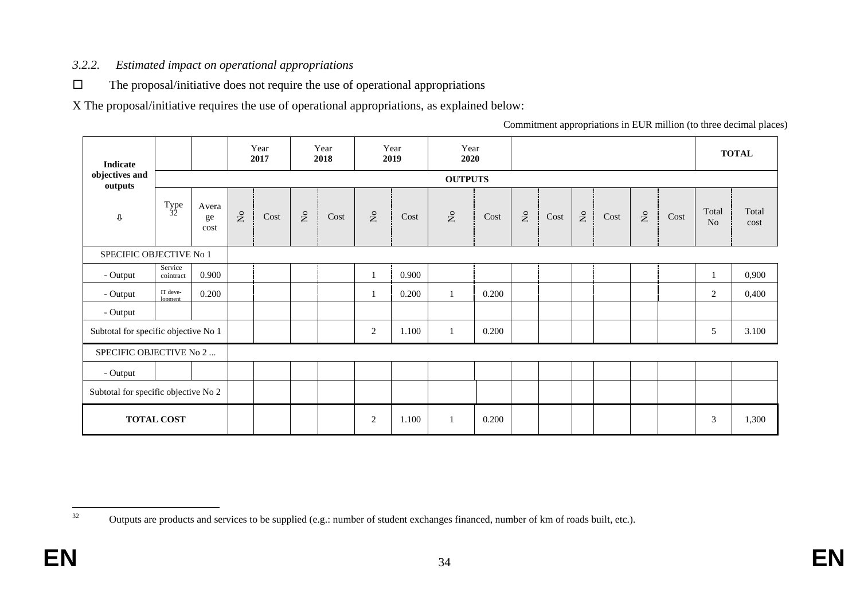## *3.2.2. Estimated impact on operational appropriations*

 $\square$  The proposal/initiative does not require the use of operational appropriations

X The proposal/initiative requires the use of operational appropriations, as explained below:

Commitment appropriations in EUR million (to three decimal places)

| <b>Indicate</b>                      |                      |                     |          | Year<br>2017 |                           | Year<br>2018 |                                    | Year<br>2019 | Year<br>2020              |       |                           |      |             |      |              |      |                | <b>TOTAL</b>  |
|--------------------------------------|----------------------|---------------------|----------|--------------|---------------------------|--------------|------------------------------------|--------------|---------------------------|-------|---------------------------|------|-------------|------|--------------|------|----------------|---------------|
| objectives and<br>outputs            |                      |                     |          |              |                           |              |                                    |              | <b>OUTPUTS</b>            |       |                           |      |             |      |              |      |                |               |
| $\mathbb Q$                          | $T_{32}$             | Avera<br>ge<br>cost | $\Sigma$ | Cost         | $\mathsf{S}^{\mathsf{o}}$ | Cost         | $\rm \stackrel{\circ}{\mathbf{Z}}$ | Cost         | $\mathsf{S}^{\mathsf{o}}$ | Cost  | $\mathsf{S}^{\mathsf{o}}$ | Cost | $\rm N_{O}$ | Cost | $\rm \Sigma$ | Cost | Total<br>No    | Total<br>cost |
| SPECIFIC OBJECTIVE No 1              |                      |                     |          |              |                           |              |                                    |              |                           |       |                           |      |             |      |              |      |                |               |
| - Output                             | Service<br>cointract | 0.900               |          |              |                           |              |                                    | 0.900        |                           |       |                           |      |             |      |              |      | $\mathbf{1}$   | 0,900         |
| - Output                             | IT deve-<br>lonment  | 0.200               |          |              |                           |              |                                    | 0.200        | $\mathbf{1}$              | 0.200 |                           |      |             |      |              |      | $\overline{2}$ | 0,400         |
| - Output                             |                      |                     |          |              |                           |              |                                    |              |                           |       |                           |      |             |      |              |      |                |               |
| Subtotal for specific objective No 1 |                      |                     |          |              |                           |              | $\mathfrak{2}$                     | 1.100        | -1                        | 0.200 |                           |      |             |      |              |      | 5              | 3.100         |
| SPECIFIC OBJECTIVE No 2              |                      |                     |          |              |                           |              |                                    |              |                           |       |                           |      |             |      |              |      |                |               |
| - Output                             |                      |                     |          |              |                           |              |                                    |              |                           |       |                           |      |             |      |              |      |                |               |
| Subtotal for specific objective No 2 |                      |                     |          |              |                           |              |                                    |              |                           |       |                           |      |             |      |              |      |                |               |
|                                      | <b>TOTAL COST</b>    |                     |          |              |                           |              | 2                                  | 1.100        | $\mathbf{1}$              | 0.200 |                           |      |             |      |              |      | 3              | 1,300         |

<sup>32</sup> Outputs are products and services to be supplied (e.g.: number of student exchanges financed, number of km of roads built, etc.).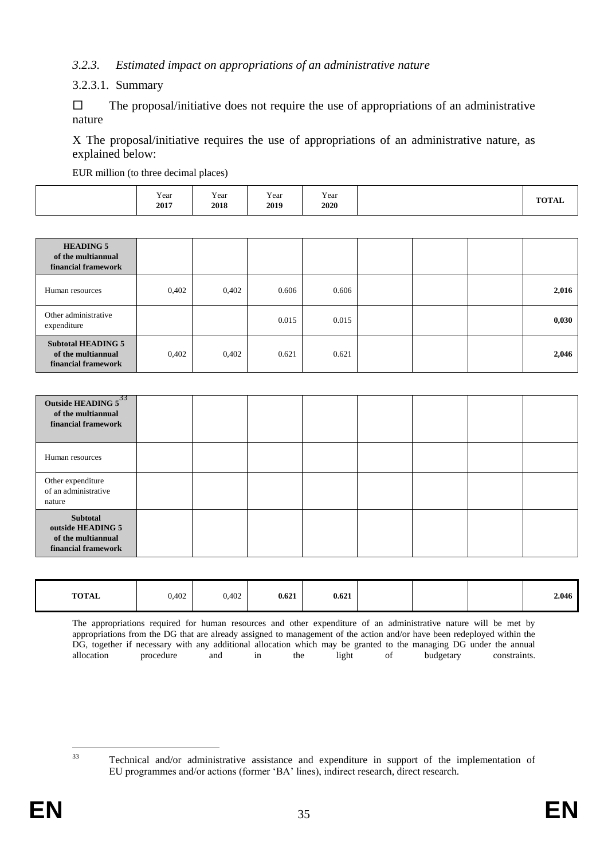### *3.2.3. Estimated impact on appropriations of an administrative nature*

#### 3.2.3.1. Summary

 $\Box$  The proposal/initiative does not require the use of appropriations of an administrative nature

X The proposal/initiative requires the use of appropriations of an administrative nature, as explained below:

EUR million (to three decimal places)

| $T0$ $T0$ $T1$ $T2$<br>TOTAL |
|------------------------------|
|------------------------------|

| <b>HEADING 5</b><br>of the multiannual<br>financial framework          |       |       |       |       |  |       |
|------------------------------------------------------------------------|-------|-------|-------|-------|--|-------|
| Human resources                                                        | 0,402 | 0,402 | 0.606 | 0.606 |  | 2,016 |
| Other administrative<br>expenditure                                    |       |       | 0.015 | 0.015 |  | 0,030 |
| <b>Subtotal HEADING 5</b><br>of the multiannual<br>financial framework | 0,402 | 0,402 | 0.621 | 0.621 |  | 2,046 |

| Outside HEADING $5^{33}$<br>of the multiannual<br>financial framework             |  |  |  |  |
|-----------------------------------------------------------------------------------|--|--|--|--|
| Human resources                                                                   |  |  |  |  |
| Other expenditure<br>of an administrative<br>nature                               |  |  |  |  |
| <b>Subtotal</b><br>outside HEADING 5<br>of the multiannual<br>financial framework |  |  |  |  |

| 0.621<br><b>TOTAL</b><br>0,402<br>0,402 | 0.621<br>2.046 |
|-----------------------------------------|----------------|
|-----------------------------------------|----------------|

The appropriations required for human resources and other expenditure of an administrative nature will be met by appropriations from the DG that are already assigned to management of the action and/or have been redeployed within the DG, together if necessary with any additional allocation which may be granted to the managing DG under the annual allocation procedure and in the light of budgetary constraints.

 $33$ <sup>33</sup> Technical and/or administrative assistance and expenditure in support of the implementation of EU programmes and/or actions (former 'BA' lines), indirect research, direct research.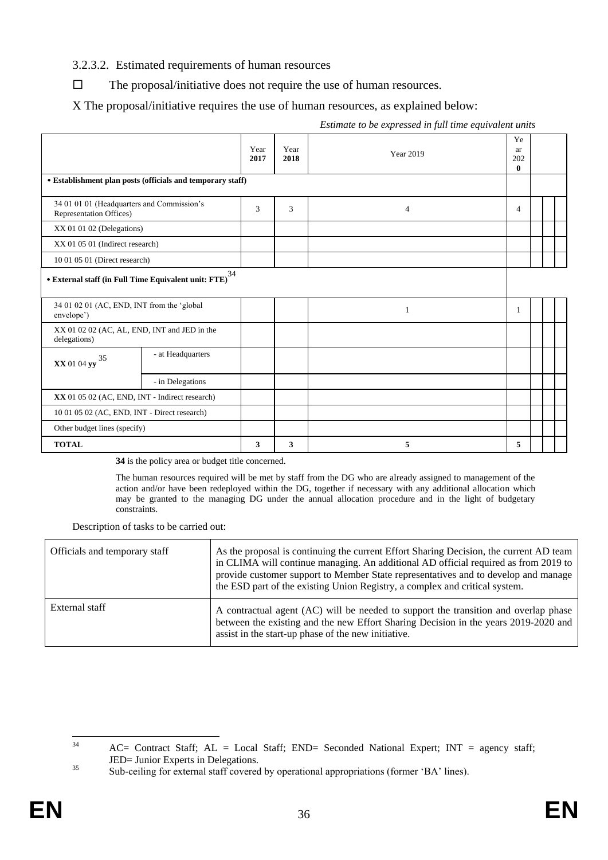### 3.2.3.2. Estimated requirements of human resources

 $\Box$  The proposal/initiative does not require the use of human resources.

X The proposal/initiative requires the use of human resources, as explained below:

| Year<br>2017 | Year<br>2018                                               | <b>Year 2019</b> | Ye<br>ar<br>202<br>$\bf{0}$ |  |  |  |
|--------------|------------------------------------------------------------|------------------|-----------------------------|--|--|--|
|              |                                                            |                  |                             |  |  |  |
| 3            | 3                                                          | $\overline{4}$   | 4                           |  |  |  |
|              |                                                            |                  |                             |  |  |  |
|              |                                                            |                  |                             |  |  |  |
|              |                                                            |                  |                             |  |  |  |
|              |                                                            |                  |                             |  |  |  |
|              |                                                            | 1                | 1                           |  |  |  |
|              |                                                            |                  |                             |  |  |  |
|              |                                                            |                  |                             |  |  |  |
|              |                                                            |                  |                             |  |  |  |
|              |                                                            |                  |                             |  |  |  |
|              |                                                            |                  |                             |  |  |  |
|              |                                                            |                  |                             |  |  |  |
| 3            | 3                                                          | 5                | 5                           |  |  |  |
|              | · Establishment plan posts (officials and temporary staff) |                  |                             |  |  |  |

*Estimate to be expressed in full time equivalent units*

**34** is the policy area or budget title concerned.

The human resources required will be met by staff from the DG who are already assigned to management of the action and/or have been redeployed within the DG, together if necessary with any additional allocation which may be granted to the managing DG under the annual allocation procedure and in the light of budgetary constraints.

Description of tasks to be carried out:

| Officials and temporary staff | As the proposal is continuing the current Effort Sharing Decision, the current AD team<br>in CLIMA will continue managing. An additional AD official required as from 2019 to<br>provide customer support to Member State representatives and to develop and manage<br>the ESD part of the existing Union Registry, a complex and critical system. |
|-------------------------------|----------------------------------------------------------------------------------------------------------------------------------------------------------------------------------------------------------------------------------------------------------------------------------------------------------------------------------------------------|
| External staff                | A contractual agent (AC) will be needed to support the transition and overlap phase<br>between the existing and the new Effort Sharing Decision in the years 2019-2020 and<br>assist in the start-up phase of the new initiative.                                                                                                                  |

 $34$  $AC=$  Contract Staff;  $AL = Local$  Staff;  $END=$  Seconded National Expert; INT = agency staff; JED= Junior Experts in Delegations.

<sup>&</sup>lt;sup>35</sup> Sub-ceiling for external staff covered by operational appropriations (former 'BA' lines).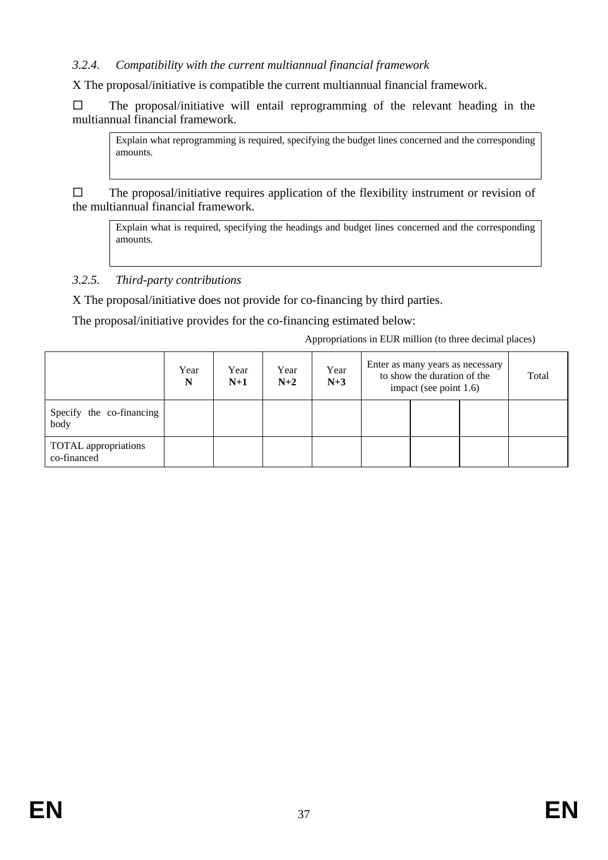### *3.2.4. Compatibility with the current multiannual financial framework*

X The proposal/initiative is compatible the current multiannual financial framework.

 $\square$  The proposal/initiative will entail reprogramming of the relevant heading in the multiannual financial framework.

Explain what reprogramming is required, specifying the budget lines concerned and the corresponding amounts.

 $\square$  The proposal/initiative requires application of the flexibility instrument or revision of the multiannual financial framework.

Explain what is required, specifying the headings and budget lines concerned and the corresponding amounts.

# *3.2.5. Third-party contributions*

X The proposal/initiative does not provide for co-financing by third parties.

The proposal/initiative provides for the co-financing estimated below:

Appropriations in EUR million (to three decimal places)

|                                            | Year<br>N | Year<br>$N+1$ | Year<br>$N+2$ | Year<br>$N+3$ | Enter as many years as necessary<br>to show the duration of the<br>impact (see point 1.6) |  |  | Total |
|--------------------------------------------|-----------|---------------|---------------|---------------|-------------------------------------------------------------------------------------------|--|--|-------|
| Specify the co-financing<br>body           |           |               |               |               |                                                                                           |  |  |       |
| <b>TOTAL</b> appropriations<br>co-financed |           |               |               |               |                                                                                           |  |  |       |